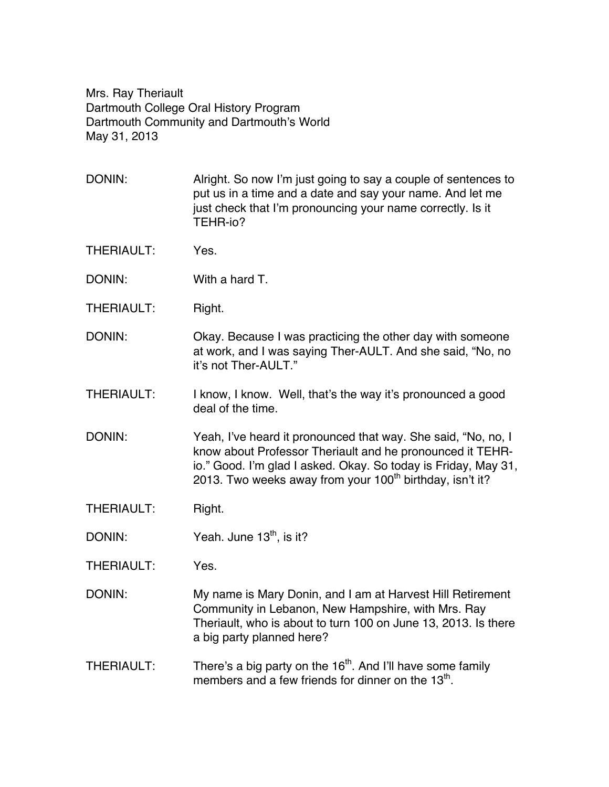Mrs. Ray Theriault Dartmouth College Oral History Program Dartmouth Community and Dartmouth's World May 31, 2013

- DONIN: Alright. So now I'm just going to say a couple of sentences to put us in a time and a date and say your name. And let me just check that I'm pronouncing your name correctly. Is it TEHR-io?
- THERIAULT: Yes.
- DONIN: With a hard T.
- THERIAULT: Right.
- DONIN: Okay. Because I was practicing the other day with someone at work, and I was saying Ther-AULT. And she said, "No, no it's not Ther-AULT."
- THERIAULT: I know, I know. Well, that's the way it's pronounced a good deal of the time.
- DONIN: Yeah, I've heard it pronounced that way. She said, "No, no, I know about Professor Theriault and he pronounced it TEHRio." Good. I'm glad I asked. Okay. So today is Friday, May 31, 2013. Two weeks away from your  $100<sup>th</sup>$  birthday, isn't it?
- THERIAULT: Right.
- DONIN: Yeah. June  $13<sup>th</sup>$ , is it?
- THERIAULT: Yes.
- DONIN: My name is Mary Donin, and I am at Harvest Hill Retirement Community in Lebanon, New Hampshire, with Mrs. Ray Theriault, who is about to turn 100 on June 13, 2013. Is there a big party planned here?
- THERIAULT: There's a big party on the  $16<sup>th</sup>$ . And I'll have some family members and a few friends for dinner on the  $13<sup>th</sup>$ .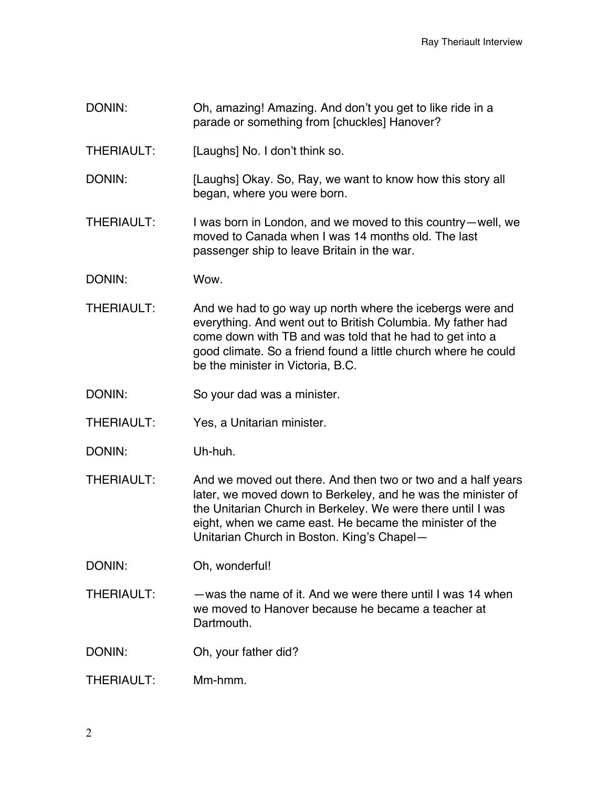- DONIN: Oh, amazing! Amazing. And don't you get to like ride in a parade or something from [chuckles] Hanover?
- THERIAULT: [Laughs] No. I don't think so.
- DONIN: [Laughs] Okay. So, Ray, we want to know how this story all began, where you were born.
- THERIAULT: I was born in London, and we moved to this country—well, we moved to Canada when I was 14 months old. The last passenger ship to leave Britain in the war.
- DONIN: Wow.
- THERIAULT: And we had to go way up north where the icebergs were and everything. And went out to British Columbia. My father had come down with TB and was told that he had to get into a good climate. So a friend found a little church where he could be the minister in Victoria, B.C.
- DONIN: So your dad was a minister.
- THERIAULT: Yes, a Unitarian minister.
- DONIN: Uh-huh.
- THERIAULT: And we moved out there. And then two or two and a half years later, we moved down to Berkeley, and he was the minister of the Unitarian Church in Berkeley. We were there until I was eight, when we came east. He became the minister of the Unitarian Church in Boston. King's Chapel—
- DONIN: Oh, wonderful!
- THERIAULT: —was the name of it. And we were there until I was 14 when we moved to Hanover because he became a teacher at Dartmouth.
- DONIN: Oh, your father did?
- $THFRIALJIT:$  Mm-hmm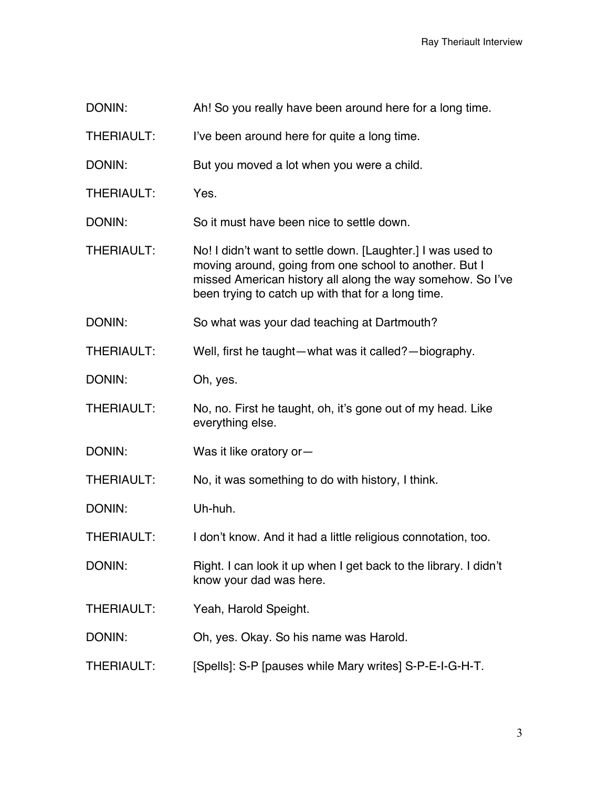- DONIN: Ah! So you really have been around here for a long time.
- THERIAULT: I've been around here for quite a long time.
- DONIN: But you moved a lot when you were a child.
- THERIAULT: Yes.
- DONIN: So it must have been nice to settle down.
- THERIAULT: No! I didn't want to settle down. [Laughter.] I was used to moving around, going from one school to another. But I missed American history all along the way somehow. So I've been trying to catch up with that for a long time.
- DONIN: So what was your dad teaching at Dartmouth?
- THERIAULT: Well, first he taught—what was it called?—biography.
- DONIN: Oh, yes.
- THERIAULT: No, no. First he taught, oh, it's gone out of my head. Like everything else.
- DONIN: Was it like oratory or-
- THERIAULT: No, it was something to do with history, I think.
- DONIN: Uh-huh.
- THERIAULT: I don't know. And it had a little religious connotation, too.
- DONIN: Right. I can look it up when I get back to the library. I didn't know your dad was here.
- THERIAULT: Yeah, Harold Speight.
- DONIN: Oh, yes. Okay. So his name was Harold.
- THERIAULT: [Spells]: S-P [pauses while Mary writes] S-P-E-I-G-H-T.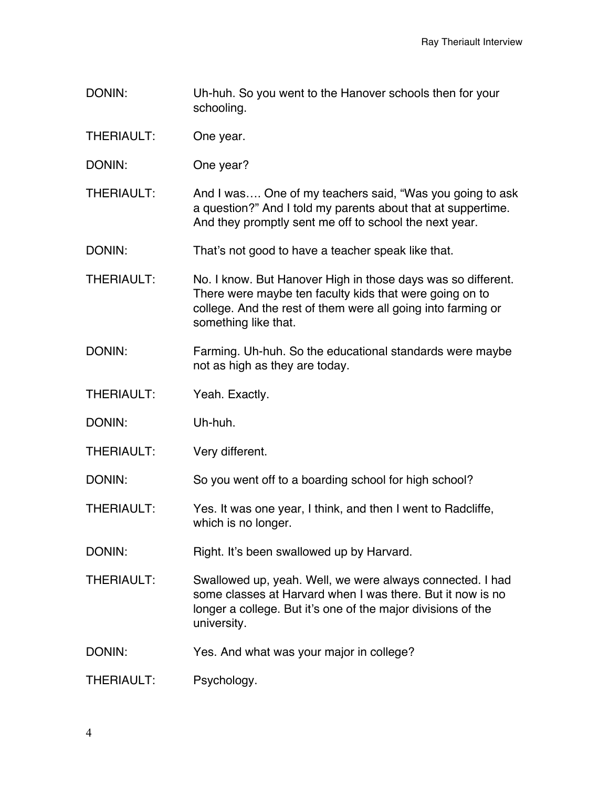- DONIN: Uh-huh. So you went to the Hanover schools then for your schooling.
- THERIAULT: One year.
- DONIN: One year?
- THERIAULT: And I was…. One of my teachers said, "Was you going to ask a question?" And I told my parents about that at suppertime. And they promptly sent me off to school the next year.
- DONIN: That's not good to have a teacher speak like that.
- THERIAULT: No. I know. But Hanover High in those days was so different. There were maybe ten faculty kids that were going on to college. And the rest of them were all going into farming or something like that.
- DONIN: Farming. Uh-huh. So the educational standards were maybe not as high as they are today.
- THERIAULT: Yeah. Exactly.
- DONIN: Uh-huh.
- THERIAULT: Very different.

DONIN: So you went off to a boarding school for high school?

- THERIAULT: Yes. It was one year, I think, and then I went to Radcliffe, which is no longer.
- DONIN: Right. It's been swallowed up by Harvard.
- THERIAULT: Swallowed up, yeah. Well, we were always connected. I had some classes at Harvard when I was there. But it now is no longer a college. But it's one of the major divisions of the university.
- DONIN: Yes. And what was your major in college?
- THERIAULT: Psychology.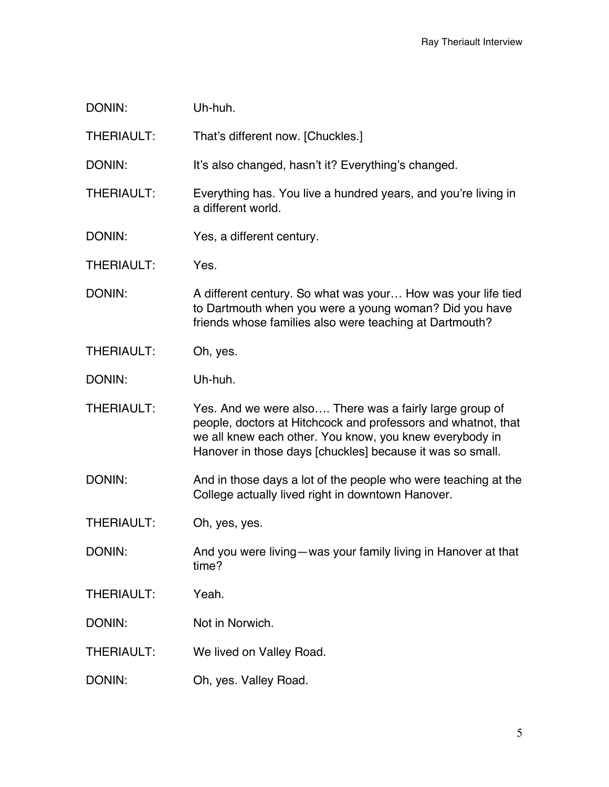| DONIN:            | Uh-huh.                                                                                                                                                                                                                                          |
|-------------------|--------------------------------------------------------------------------------------------------------------------------------------------------------------------------------------------------------------------------------------------------|
| THERIAULT:        | That's different now. [Chuckles.]                                                                                                                                                                                                                |
| DONIN:            | It's also changed, hasn't it? Everything's changed.                                                                                                                                                                                              |
| <b>THERIAULT:</b> | Everything has. You live a hundred years, and you're living in<br>a different world.                                                                                                                                                             |
| DONIN:            | Yes, a different century.                                                                                                                                                                                                                        |
| <b>THERIAULT:</b> | Yes.                                                                                                                                                                                                                                             |
| DONIN:            | A different century. So what was your How was your life tied<br>to Dartmouth when you were a young woman? Did you have<br>friends whose families also were teaching at Dartmouth?                                                                |
| <b>THERIAULT:</b> | Oh, yes.                                                                                                                                                                                                                                         |
| DONIN:            | Uh-huh.                                                                                                                                                                                                                                          |
| <b>THERIAULT:</b> | Yes. And we were also There was a fairly large group of<br>people, doctors at Hitchcock and professors and whatnot, that<br>we all knew each other. You know, you knew everybody in<br>Hanover in those days [chuckles] because it was so small. |
| DONIN:            | And in those days a lot of the people who were teaching at the<br>College actually lived right in downtown Hanover.                                                                                                                              |
| <b>THERIAULT:</b> | Oh, yes, yes.                                                                                                                                                                                                                                    |
| DONIN:            | And you were living-was your family living in Hanover at that<br>time?                                                                                                                                                                           |
| <b>THERIAULT:</b> | Yeah.                                                                                                                                                                                                                                            |
| DONIN:            | Not in Norwich.                                                                                                                                                                                                                                  |
| <b>THERIAULT:</b> | We lived on Valley Road.                                                                                                                                                                                                                         |
| DONIN:            | Oh, yes. Valley Road.                                                                                                                                                                                                                            |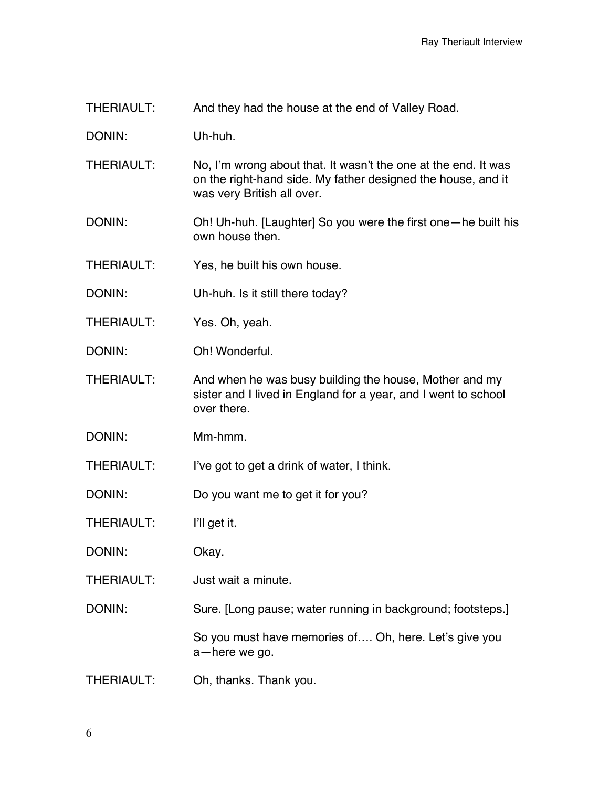THERIAULT: And they had the house at the end of Valley Road.

DONIN: Uh-huh.

- THERIAULT: No, I'm wrong about that. It wasn't the one at the end. It was on the right-hand side. My father designed the house, and it was very British all over.
- DONIN: Oh! Uh-huh. [Laughter] So you were the first one—he built his own house then.
- THERIAULT: Yes, he built his own house.
- DONIN: Uh-huh. Is it still there today?
- THERIAULT: Yes. Oh, yeah.
- DONIN: Oh! Wonderful.
- THERIAULT: And when he was busy building the house, Mother and my sister and I lived in England for a year, and I went to school over there.
- DONIN: Mm-hmm.
- THERIAULT: I've got to get a drink of water, I think.
- DONIN: Do you want me to get it for you?
- THERIAULT: I'll get it.
- DONIN: Okay.
- THERIAULT: Just wait a minute.
- DONIN: Sure. [Long pause; water running in background; footsteps.]

So you must have memories of…. Oh, here. Let's give you a—here we go.

THERIAULT: Oh, thanks. Thank you.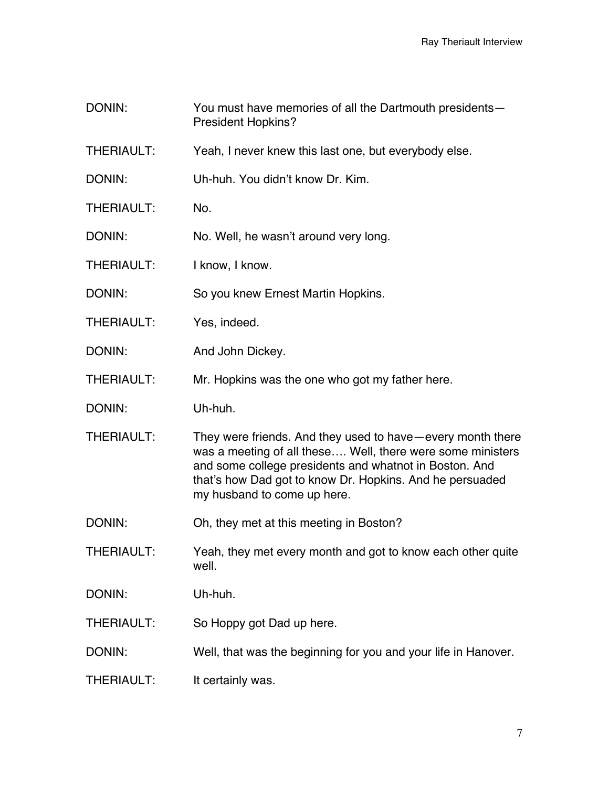- DONIN: You must have memories of all the Dartmouth presidents— President Hopkins?
- THERIAULT: Yeah, I never knew this last one, but everybody else.
- DONIN: Uh-huh. You didn't know Dr. Kim.
- THERIAULT: No.
- DONIN: No. Well, he wasn't around very long.
- THERIAULT: I know, I know.
- DONIN: So you knew Ernest Martin Hopkins.
- THERIAULT: Yes, indeed.
- DONIN: And John Dickey.
- THERIAULT: Mr. Hopkins was the one who got my father here.
- DONIN: Uh-huh.
- THERIAULT: They were friends. And they used to have—every month there was a meeting of all these…. Well, there were some ministers and some college presidents and whatnot in Boston. And that's how Dad got to know Dr. Hopkins. And he persuaded my husband to come up here.
- DONIN: Oh, they met at this meeting in Boston?
- THERIAULT: Yeah, they met every month and got to know each other quite well.
- DONIN: Uh-huh.
- THERIAULT: So Hoppy got Dad up here.
- DONIN: Well, that was the beginning for you and your life in Hanover.
- THERIAULT: It certainly was.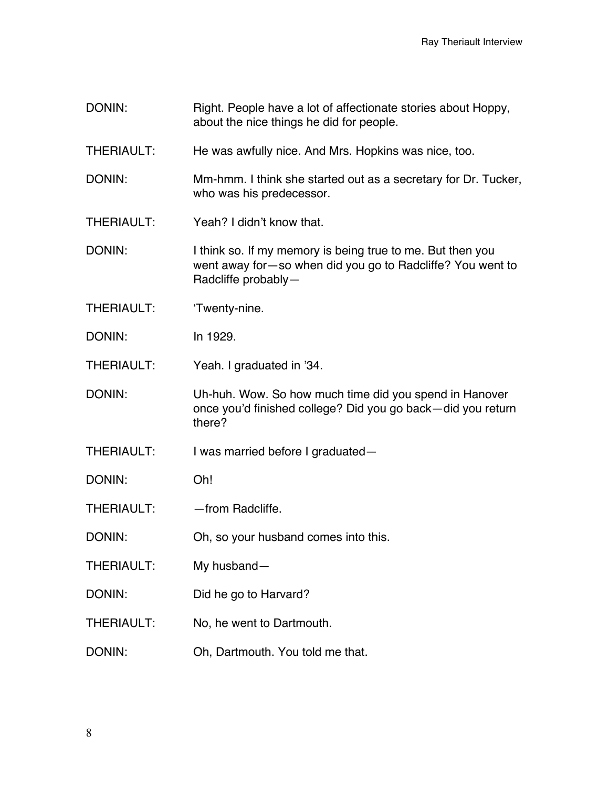- DONIN: Right. People have a lot of affectionate stories about Hoppy, about the nice things he did for people.
- THERIAULT: He was awfully nice. And Mrs. Hopkins was nice, too.
- DONIN: Mm-hmm. I think she started out as a secretary for Dr. Tucker, who was his predecessor.
- THERIAULT: Yeah? I didn't know that.
- DONIN: I think so. If my memory is being true to me. But then you went away for—so when did you go to Radcliffe? You went to Radcliffe probably—
- THERIAULT: 'Twenty-nine.
- DONIN: In 1929.

THERIAULT: Yeah. I graduated in '34.

- DONIN: Uh-huh. Wow. So how much time did you spend in Hanover once you'd finished college? Did you go back—did you return there?
- THERIAULT: I was married before I graduated—
- DONIN: Oh!
- THERIAULT: — from Radcliffe.
- DONIN: Oh, so your husband comes into this.
- THERIAULT: My husband—
- DONIN: Did he go to Harvard?
- THERIAULT: No, he went to Dartmouth.
- DONIN: Oh, Dartmouth. You told me that.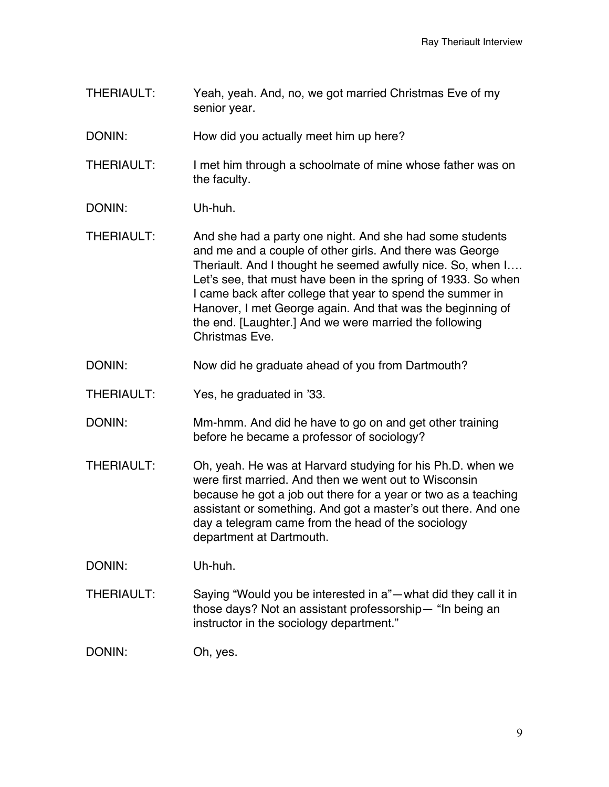THERIAULT: Yeah, yeah. And, no, we got married Christmas Eve of my senior year.

DONIN: How did you actually meet him up here?

THERIAULT: I met him through a schoolmate of mine whose father was on the faculty.

- DONIN: Uh-huh.
- THERIAULT: And she had a party one night. And she had some students and me and a couple of other girls. And there was George Theriault. And I thought he seemed awfully nice. So, when I…. Let's see, that must have been in the spring of 1933. So when I came back after college that year to spend the summer in Hanover, I met George again. And that was the beginning of the end. [Laughter.] And we were married the following Christmas Eve.
- DONIN: Now did he graduate ahead of you from Dartmouth?
- THERIAULT: Yes, he graduated in '33.
- DONIN: Mm-hmm. And did he have to go on and get other training before he became a professor of sociology?
- THERIAULT: Oh, yeah. He was at Harvard studying for his Ph.D. when we were first married. And then we went out to Wisconsin because he got a job out there for a year or two as a teaching assistant or something. And got a master's out there. And one day a telegram came from the head of the sociology department at Dartmouth.

DONIN: Uh-huh.

THERIAULT: Saying "Would you be interested in a"—what did they call it in those days? Not an assistant professorship— "In being an instructor in the sociology department."

DONIN: Oh, yes.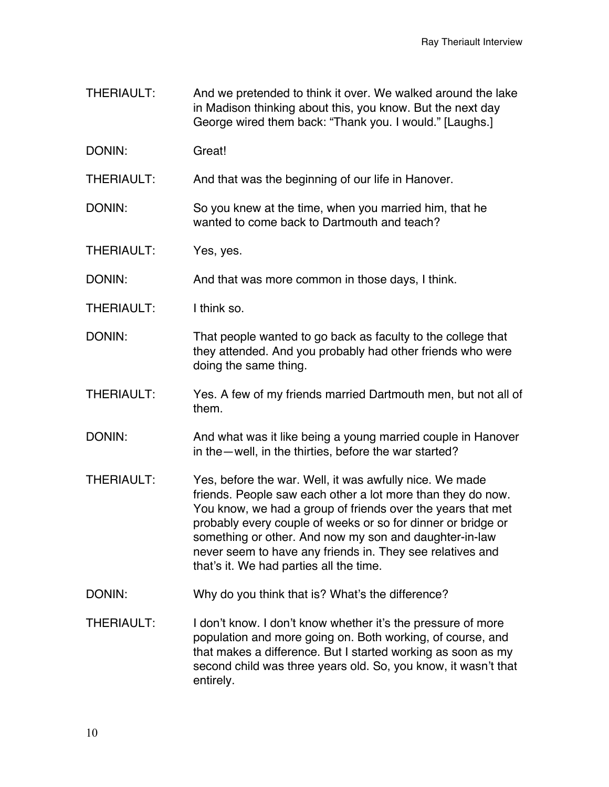- THERIAULT: And we pretended to think it over. We walked around the lake in Madison thinking about this, you know. But the next day George wired them back: "Thank you. I would." [Laughs.]
- DONIN: Great!
- THERIAULT: And that was the beginning of our life in Hanover.
- DONIN: So you knew at the time, when you married him, that he wanted to come back to Dartmouth and teach?
- THERIAULT: Yes, yes.
- DONIN: And that was more common in those days, I think.
- THERIAULT: I think so.
- DONIN: That people wanted to go back as faculty to the college that they attended. And you probably had other friends who were doing the same thing.
- THERIAULT: Yes. A few of my friends married Dartmouth men, but not all of them.
- DONIN: And what was it like being a young married couple in Hanover in the—well, in the thirties, before the war started?
- THERIAULT: Yes, before the war. Well, it was awfully nice. We made friends. People saw each other a lot more than they do now. You know, we had a group of friends over the years that met probably every couple of weeks or so for dinner or bridge or something or other. And now my son and daughter-in-law never seem to have any friends in. They see relatives and that's it. We had parties all the time.
- DONIN: Why do you think that is? What's the difference?
- THERIAULT: I don't know. I don't know whether it's the pressure of more population and more going on. Both working, of course, and that makes a difference. But I started working as soon as my second child was three years old. So, you know, it wasn't that entirely.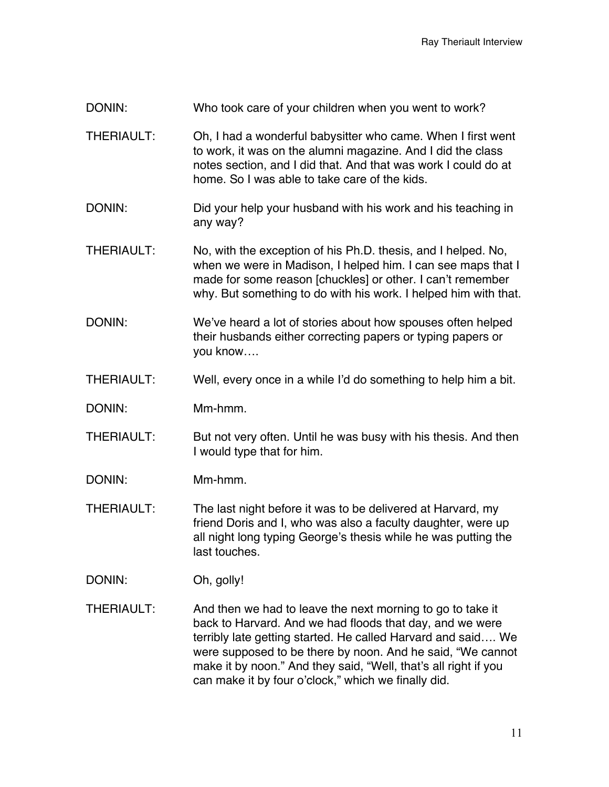- THERIAULT: Oh, I had a wonderful babysitter who came. When I first went to work, it was on the alumni magazine. And I did the class notes section, and I did that. And that was work I could do at home. So I was able to take care of the kids.
- DONIN: DONIN: Did your help your husband with his work and his teaching in any way?
- THERIAULT: No, with the exception of his Ph.D. thesis, and I helped. No, when we were in Madison, I helped him. I can see maps that I made for some reason [chuckles] or other. I can't remember why. But something to do with his work. I helped him with that.
- DONIN: We've heard a lot of stories about how spouses often helped their husbands either correcting papers or typing papers or you know….
- THERIAULT: Well, every once in a while I'd do something to help him a bit.
- DONIN: Mm-hmm.
- THERIAULT: But not very often. Until he was busy with his thesis. And then I would type that for him.
- DONIN: Mm-hmm.
- THERIAULT: The last night before it was to be delivered at Harvard, my friend Doris and I, who was also a faculty daughter, were up all night long typing George's thesis while he was putting the last touches.
- DONIN: Oh, golly!
- THERIAULT: And then we had to leave the next morning to go to take it back to Harvard. And we had floods that day, and we were terribly late getting started. He called Harvard and said…. We were supposed to be there by noon. And he said, "We cannot make it by noon." And they said, "Well, that's all right if you can make it by four o'clock," which we finally did.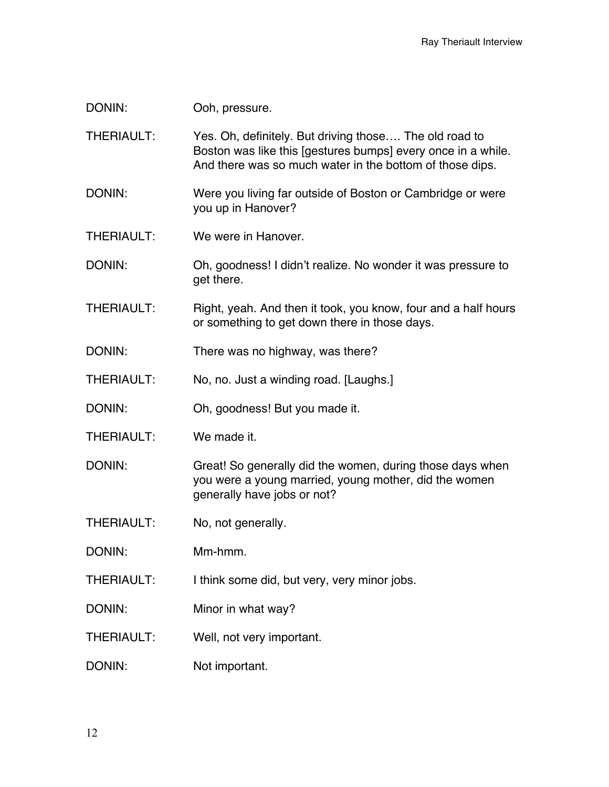DONIN: Ooh, pressure.

THERIAULT: Yes. Oh, definitely. But driving those…. The old road to Boston was like this [gestures bumps] every once in a while. And there was so much water in the bottom of those dips.

- DONIN: Were you living far outside of Boston or Cambridge or were you up in Hanover?
- THERIAULT: We were in Hanover.
- DONIN: Oh, goodness! I didn't realize. No wonder it was pressure to get there.
- THERIAULT: Right, yeah. And then it took, you know, four and a half hours or something to get down there in those days.
- DONIN: There was no highway, was there?
- THERIAULT: No, no. Just a winding road. [Laughs.]
- DONIN: Oh, goodness! But you made it.
- THERIAULT: We made it.

DONIN: Great! So generally did the women, during those days when you were a young married, young mother, did the women generally have jobs or not?

- THERIAULT: No, not generally.
- DONIN: Mm-hmm.
- THERIAULT: I think some did, but very, very minor jobs.
- DONIN: Minor in what way?
- THERIAULT: Well, not very important.
- DONIN: Not important.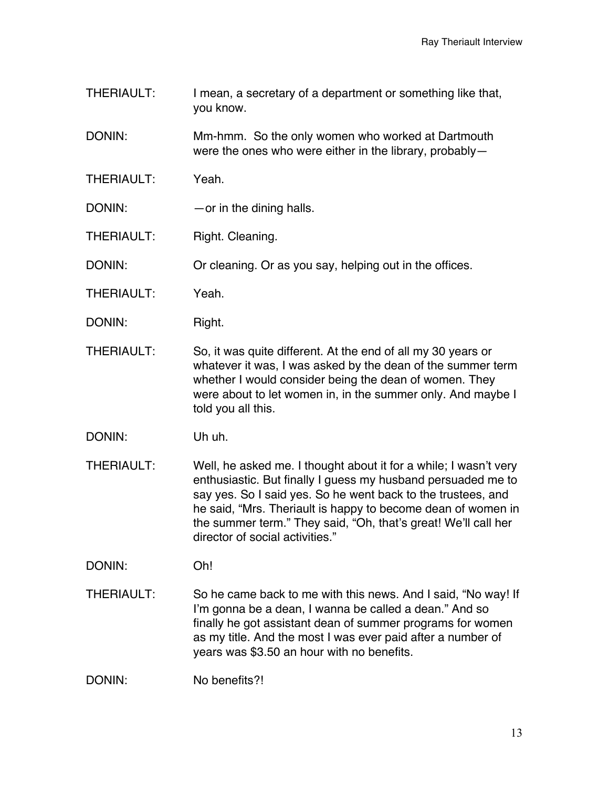THERIAULT: I mean, a secretary of a department or something like that, you know.

DONIN: Mm-hmm. So the only women who worked at Dartmouth were the ones who were either in the library, probably—

- THERIAULT: Yeah.
- DONIN: — or in the dining halls.
- THERIAULT: Right. Cleaning.

DONIN: Or cleaning. Or as you say, helping out in the offices.

- THERIAULT: Yeah.
- DONIN: Right.
- THERIAULT: So, it was quite different. At the end of all my 30 years or whatever it was, I was asked by the dean of the summer term whether I would consider being the dean of women. They were about to let women in, in the summer only. And maybe I told you all this.
- DONIN: Uh uh.
- THERIAULT: Well, he asked me. I thought about it for a while; I wasn't very enthusiastic. But finally I guess my husband persuaded me to say yes. So I said yes. So he went back to the trustees, and he said, "Mrs. Theriault is happy to become dean of women in the summer term." They said, "Oh, that's great! We'll call her director of social activities."

DONIN: Oh!

THERIAULT: So he came back to me with this news. And I said, "No way! If I'm gonna be a dean, I wanna be called a dean." And so finally he got assistant dean of summer programs for women as my title. And the most I was ever paid after a number of years was \$3.50 an hour with no benefits.

DONIN: No benefits?!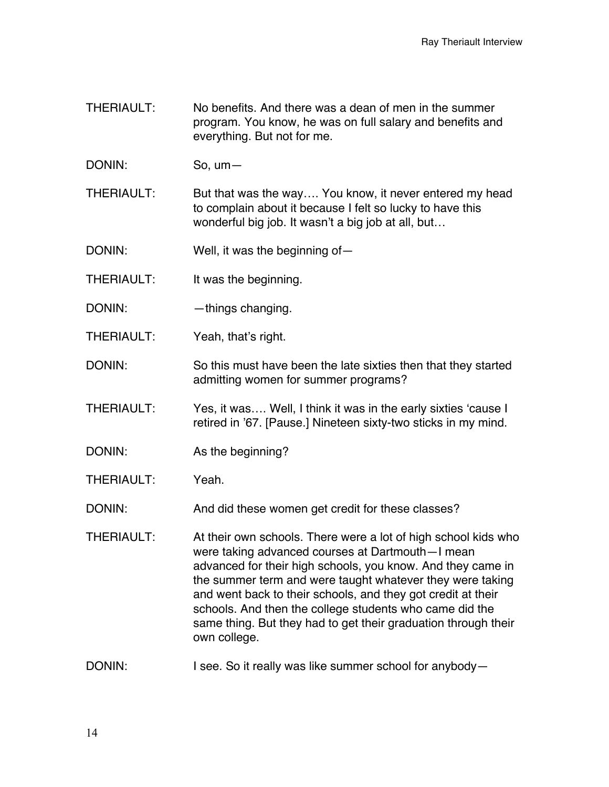- THERIAULT: No benefits. And there was a dean of men in the summer program. You know, he was on full salary and benefits and everything. But not for me.
- DONIN: So, um—

THERIAULT: But that was the way…. You know, it never entered my head to complain about it because I felt so lucky to have this wonderful big job. It wasn't a big job at all, but…

DONIN: Well, it was the beginning of-

- THERIAULT: It was the beginning.
- DONIN: — things changing.
- THERIAULT: Yeah, that's right.

DONIN: So this must have been the late sixties then that they started admitting women for summer programs?

THERIAULT: Yes, it was…. Well, I think it was in the early sixties 'cause I retired in '67. [Pause.] Nineteen sixty-two sticks in my mind.

- DONIN: As the beginning?
- THERIAULT: Yeah.

DONIN: And did these women get credit for these classes?

THERIAULT: At their own schools. There were a lot of high school kids who were taking advanced courses at Dartmouth—I mean advanced for their high schools, you know. And they came in the summer term and were taught whatever they were taking and went back to their schools, and they got credit at their schools. And then the college students who came did the same thing. But they had to get their graduation through their own college.

DONIN: I see. So it really was like summer school for anybody-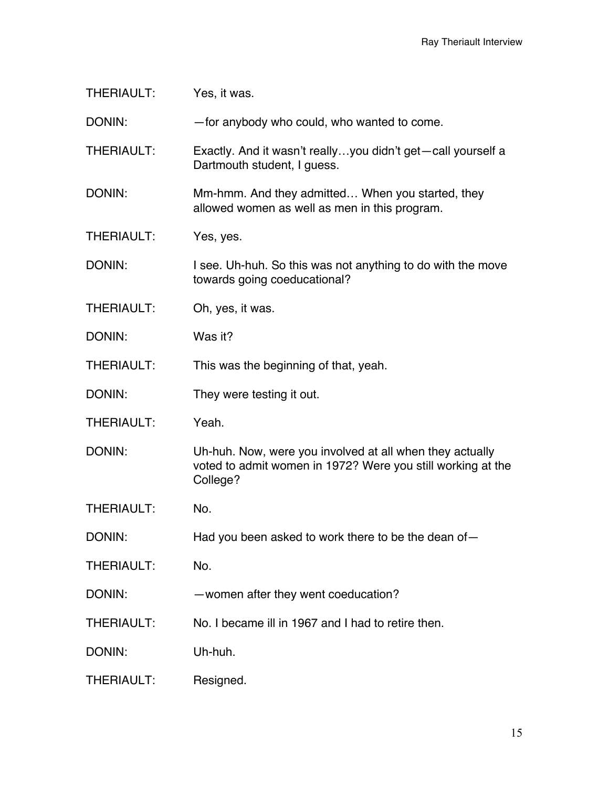THERIAULT: Yes, it was. DONIN: —for anybody who could, who wanted to come. THERIAULT: Exactly. And it wasn't really…you didn't get—call yourself a Dartmouth student, I guess. DONIN: Mm-hmm. And they admitted... When you started, they allowed women as well as men in this program. THERIAULT: Yes, yes. DONIN: I see. Uh-huh. So this was not anything to do with the move towards going coeducational? THERIAULT: Oh, yes, it was. DONIN: Was it? THERIAULT: This was the beginning of that, yeah. DONIN: They were testing it out. THERIAULT: Yeah. DONIN: Uh-huh. Now, were you involved at all when they actually voted to admit women in 1972? Were you still working at the College? THERIAULT: No. DONIN: Had you been asked to work there to be the dean of-THERIAULT: No. DONIN: — women after they went coeducation? THERIAULT: No. I became ill in 1967 and I had to retire then. DONIN: Uh-huh. THERIAULT: Resigned.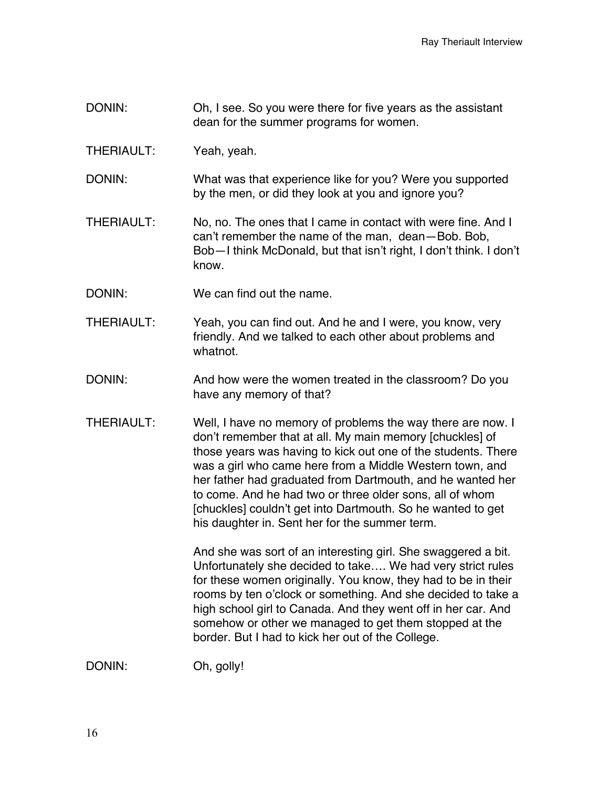- DONIN: Oh, I see. So you were there for five years as the assistant dean for the summer programs for women.
- THERIAULT: Yeah, yeah.
- DONIN: What was that experience like for you? Were you supported by the men, or did they look at you and ignore you?
- THERIAULT: No, no. The ones that I came in contact with were fine. And I can't remember the name of the man, dean—Bob. Bob, Bob—I think McDonald, but that isn't right, I don't think. I don't know.
- DONIN: We can find out the name.
- THERIAULT: Yeah, you can find out. And he and I were, you know, very friendly. And we talked to each other about problems and whatnot.
- DONIN: And how were the women treated in the classroom? Do you have any memory of that?
- THERIAULT: Well, I have no memory of problems the way there are now. I don't remember that at all. My main memory [chuckles] of those years was having to kick out one of the students. There was a girl who came here from a Middle Western town, and her father had graduated from Dartmouth, and he wanted her to come. And he had two or three older sons, all of whom [chuckles] couldn't get into Dartmouth. So he wanted to get his daughter in. Sent her for the summer term.

And she was sort of an interesting girl. She swaggered a bit. Unfortunately she decided to take…. We had very strict rules for these women originally. You know, they had to be in their rooms by ten o'clock or something. And she decided to take a high school girl to Canada. And they went off in her car. And somehow or other we managed to get them stopped at the border. But I had to kick her out of the College.

DONIN: Oh, golly!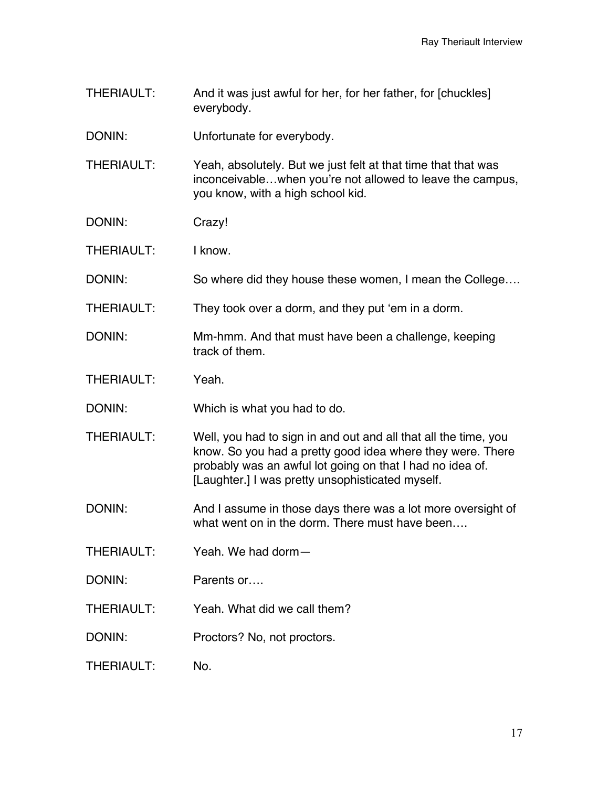THERIAULT: And it was just awful for her, for her father, for [chuckles] everybody.

DONIN: Unfortunate for everybody.

THERIAULT: Yeah, absolutely. But we just felt at that time that that was inconceivable…when you're not allowed to leave the campus, you know, with a high school kid.

- DONIN: Crazy!
- THERIAULT: I know.

DONIN: So where did they house these women, I mean the College....

- THERIAULT: They took over a dorm, and they put 'em in a dorm.
- DONIN: Mm-hmm. And that must have been a challenge, keeping track of them.
- THERIAULT: Yeah.

DONIN: Which is what you had to do.

- THERIAULT: Well, you had to sign in and out and all that all the time, you know. So you had a pretty good idea where they were. There probably was an awful lot going on that I had no idea of. [Laughter.] I was pretty unsophisticated myself.
- DONIN: And I assume in those days there was a lot more oversight of what went on in the dorm. There must have been....
- THERIAULT: Yeah. We had dorm—
- DONIN: Parents or….
- THERIAULT: Yeah. What did we call them?
- DONIN: Proctors? No, not proctors.
- THERIAULT: No.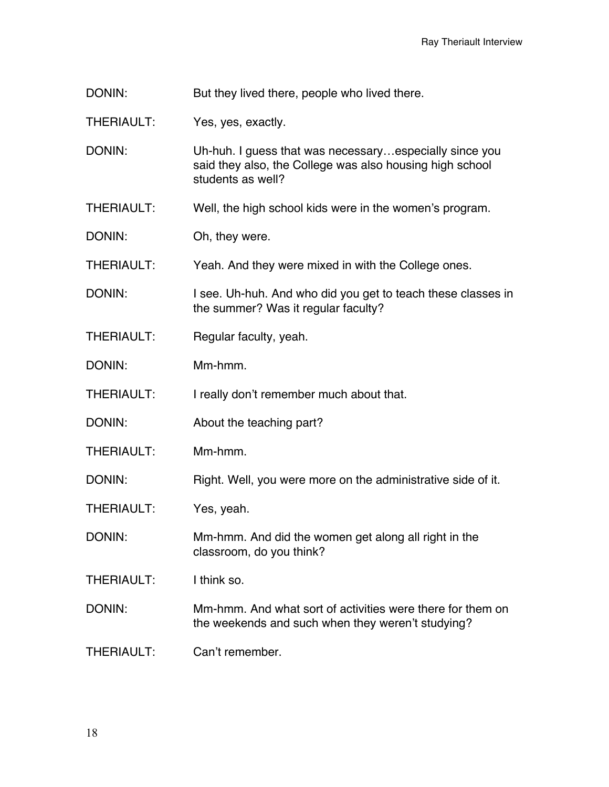DONIN: But they lived there, people who lived there.

THERIAULT: Yes, yes, exactly.

DONIN: Uh-huh. I guess that was necessary...especially since you said they also, the College was also housing high school students as well?

THERIAULT: Well, the high school kids were in the women's program.

DONIN: Oh, they were.

THERIAULT: Yeah. And they were mixed in with the College ones.

DONIN: I see. Uh-huh. And who did you get to teach these classes in the summer? Was it regular faculty?

- THERIAULT: Regular faculty, yeah.
- DONIN: Mm-hmm.

THERIAULT: I really don't remember much about that.

- DONIN: About the teaching part?
- THERIAULT: Mm-hmm.

DONIN: Right. Well, you were more on the administrative side of it.

THERIAULT: Yes, yeah.

DONIN: Mm-hmm. And did the women get along all right in the classroom, do you think?

THERIAULT: I think so.

DONIN: Mm-hmm. And what sort of activities were there for them on the weekends and such when they weren't studying?

THERIAULT: Can't remember.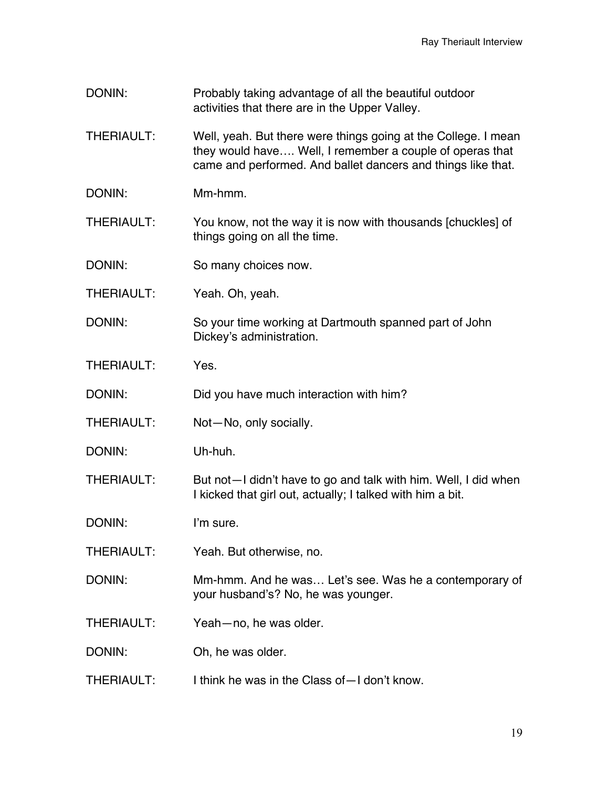- DONIN: Probably taking advantage of all the beautiful outdoor activities that there are in the Upper Valley.
- THERIAULT: Well, yeah. But there were things going at the College. I mean they would have…. Well, I remember a couple of operas that came and performed. And ballet dancers and things like that.
- DONIN: Mm-hmm.
- THERIAULT: You know, not the way it is now with thousands [chuckles] of things going on all the time.
- DONIN: So many choices now.
- THERIAULT: Yeah. Oh, yeah.
- DONIN: So your time working at Dartmouth spanned part of John Dickey's administration.
- THERIAULT: Yes.
- DONIN: Did you have much interaction with him?
- THERIAULT: Not—No, only socially.
- DONIN: Uh-huh.

THERIAULT: But not—I didn't have to go and talk with him. Well, I did when I kicked that girl out, actually; I talked with him a bit.

DONIN: I'm sure.

- THERIAULT: Yeah. But otherwise, no.
- DONIN: Mm-hmm. And he was… Let's see. Was he a contemporary of your husband's? No, he was younger.
- THERIAULT: Yeah—no, he was older.
- DONIN: Oh, he was older.
- THERIAULT: I think he was in the Class of—I don't know.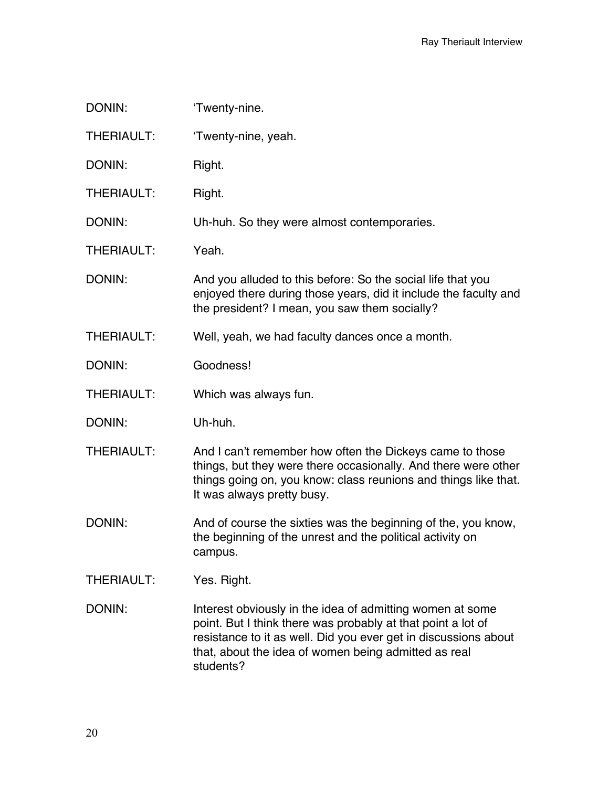| DONIN:            | 'Twenty-nine.                                                                                                                                                                                                                                                     |
|-------------------|-------------------------------------------------------------------------------------------------------------------------------------------------------------------------------------------------------------------------------------------------------------------|
| <b>THERIAULT:</b> | 'Twenty-nine, yeah.                                                                                                                                                                                                                                               |
| DONIN:            | Right.                                                                                                                                                                                                                                                            |
| <b>THERIAULT:</b> | Right.                                                                                                                                                                                                                                                            |
| DONIN:            | Uh-huh. So they were almost contemporaries.                                                                                                                                                                                                                       |
| <b>THERIAULT:</b> | Yeah.                                                                                                                                                                                                                                                             |
| DONIN:            | And you alluded to this before: So the social life that you<br>enjoyed there during those years, did it include the faculty and<br>the president? I mean, you saw them socially?                                                                                  |
| <b>THERIAULT:</b> | Well, yeah, we had faculty dances once a month.                                                                                                                                                                                                                   |
| DONIN:            | Goodness!                                                                                                                                                                                                                                                         |
| THERIAULT:        | Which was always fun.                                                                                                                                                                                                                                             |
| DONIN:            | Uh-huh.                                                                                                                                                                                                                                                           |
| <b>THERIAULT:</b> | And I can't remember how often the Dickeys came to those<br>things, but they were there occasionally. And there were other<br>things going on, you know: class reunions and things like that.<br>It was always pretty busy.                                       |
| DONIN:            | And of course the sixties was the beginning of the, you know,<br>the beginning of the unrest and the political activity on<br>campus.                                                                                                                             |
| THERIAULT:        | Yes. Right.                                                                                                                                                                                                                                                       |
| DONIN:            | Interest obviously in the idea of admitting women at some<br>point. But I think there was probably at that point a lot of<br>resistance to it as well. Did you ever get in discussions about<br>that, about the idea of women being admitted as real<br>students? |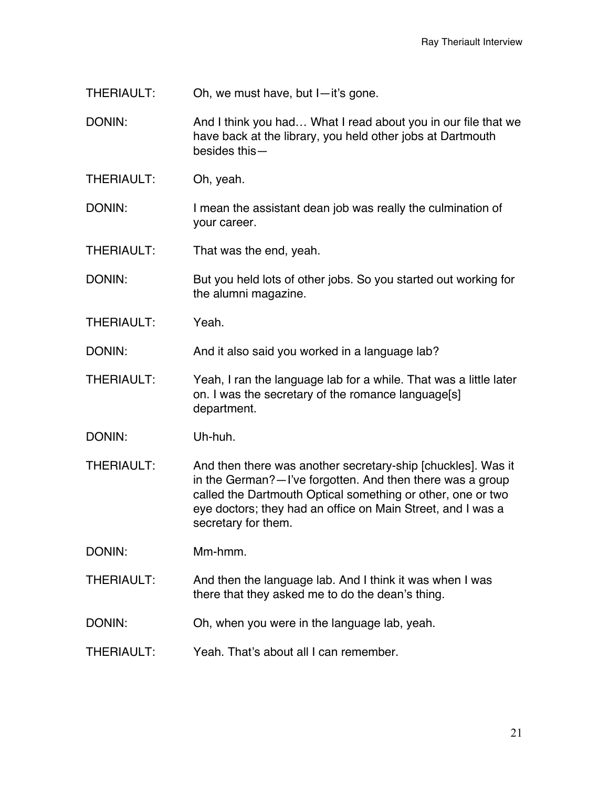THERIAULT: Oh, we must have, but I—it's gone.

DONIN: And I think you had... What I read about you in our file that we have back at the library, you held other jobs at Dartmouth besides this—

THERIAULT: Oh, yeah.

DONIN: I mean the assistant dean job was really the culmination of your career.

THERIAULT: That was the end, yeah.

DONIN: But you held lots of other jobs. So you started out working for the alumni magazine.

THERIAULT: Yeah.

DONIN: And it also said you worked in a language lab?

THERIAULT: Yeah, I ran the language lab for a while. That was a little later on. I was the secretary of the romance language[s] department.

DONIN: Uh-huh.

THERIAULT: And then there was another secretary-ship [chuckles]. Was it in the German?—I've forgotten. And then there was a group called the Dartmouth Optical something or other, one or two eye doctors; they had an office on Main Street, and I was a secretary for them.

DONIN: Mm-hmm.

THERIAULT: And then the language lab. And I think it was when I was there that they asked me to do the dean's thing.

DONIN: Oh, when you were in the language lab, yeah.

THERIAULT: Yeah. That's about all I can remember.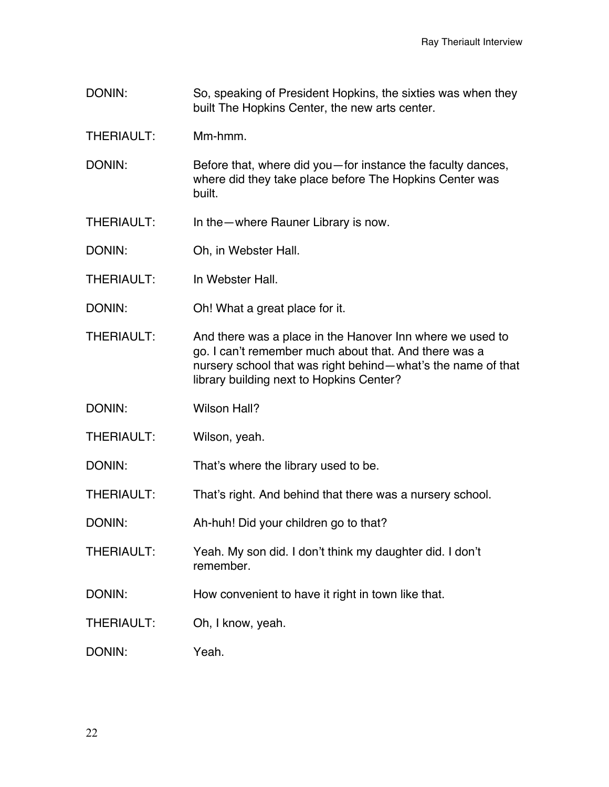- DONIN: So, speaking of President Hopkins, the sixties was when they built The Hopkins Center, the new arts center.
- THERIAULT: Mm-hmm.
- DONIN: Before that, where did you—for instance the faculty dances, where did they take place before The Hopkins Center was built.
- THERIAULT: In the—where Rauner Library is now.
- DONIN: Oh, in Webster Hall.
- THERIAULT: In Webster Hall.
- DONIN: Oh! What a great place for it.
- THERIAULT: And there was a place in the Hanover Inn where we used to go. I can't remember much about that. And there was a nursery school that was right behind—what's the name of that library building next to Hopkins Center?
- DONIN: Wilson Hall?
- THERIAULT: Wilson, yeah.
- DONIN: That's where the library used to be.
- THERIAULT: That's right. And behind that there was a nursery school.
- DONIN: Ah-huh! Did your children go to that?
- THERIAULT: Yeah. My son did. I don't think my daughter did. I don't remember.
- DONIN: How convenient to have it right in town like that.
- THERIAULT: Oh, I know, yeah.
- DONIN: Yeah.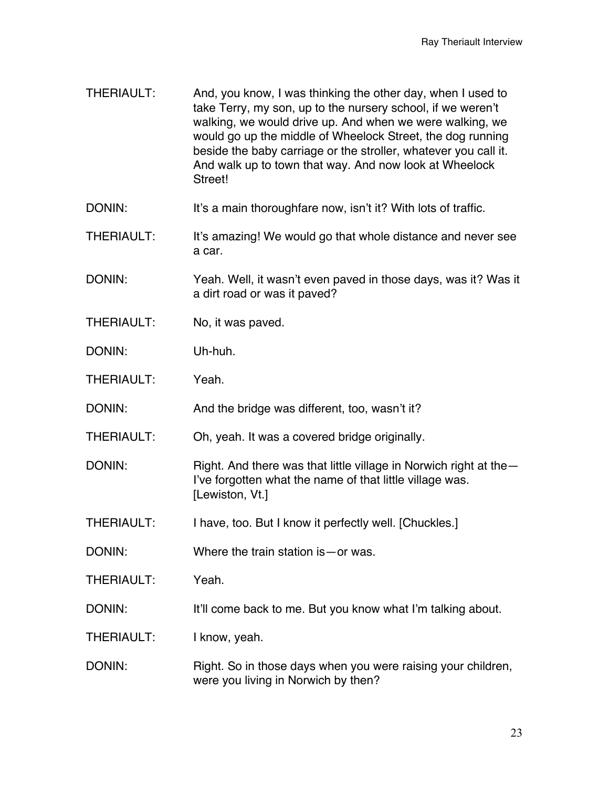- THERIAULT: And, you know, I was thinking the other day, when I used to take Terry, my son, up to the nursery school, if we weren't walking, we would drive up. And when we were walking, we would go up the middle of Wheelock Street, the dog running beside the baby carriage or the stroller, whatever you call it. And walk up to town that way. And now look at Wheelock Street!
- DONIN: It's a main thoroughfare now, isn't it? With lots of traffic.
- THERIAULT: It's amazing! We would go that whole distance and never see a car.
- DONIN: Yeah. Well, it wasn't even paved in those days, was it? Was it a dirt road or was it paved?
- THERIAULT: No, it was paved.
- DONIN: Uh-huh.
- THERIAULT: Yeah.
- DONIN: And the bridge was different, too, wasn't it?
- THERIAULT: Oh, yeah. It was a covered bridge originally.
- DONIN: Right. And there was that little village in Norwich right at the I've forgotten what the name of that little village was. [Lewiston, Vt.]
- THERIAULT: I have, too. But I know it perfectly well. [Chuckles.]
- DONIN: Where the train station is or was.
- THERIAULT: Yeah.
- DONIN: It'll come back to me. But you know what I'm talking about.
- THERIAULT: I know, yeah.
- DONIN: Right. So in those days when you were raising your children, were you living in Norwich by then?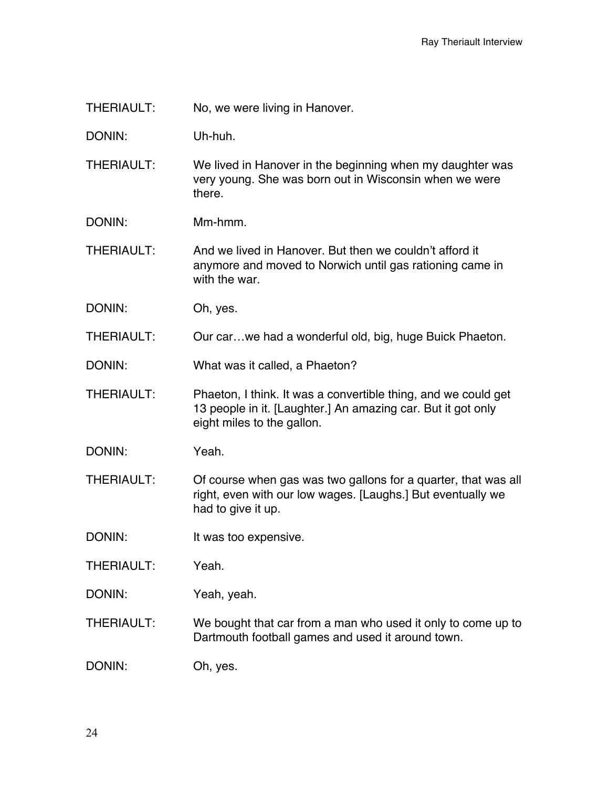THERIAULT: No, we were living in Hanover.

DONIN: Uh-huh.

THERIAULT: We lived in Hanover in the beginning when my daughter was very young. She was born out in Wisconsin when we were there.

DONIN: Mm-hmm.

THERIAULT: And we lived in Hanover. But then we couldn't afford it anymore and moved to Norwich until gas rationing came in with the war.

DONIN: Oh, yes.

THERIAULT: Our car…we had a wonderful old, big, huge Buick Phaeton.

DONIN: What was it called, a Phaeton?

THERIAULT: Phaeton, I think. It was a convertible thing, and we could get 13 people in it. [Laughter.] An amazing car. But it got only eight miles to the gallon.

DONIN: Yeah.

THERIAULT: Of course when gas was two gallons for a quarter, that was all right, even with our low wages. [Laughs.] But eventually we had to give it up.

DONIN: It was too expensive.

THERIAULT: Yeah.

DONIN: Yeah, yeah.

THERIAULT: We bought that car from a man who used it only to come up to Dartmouth football games and used it around town.

DONIN: Oh, yes.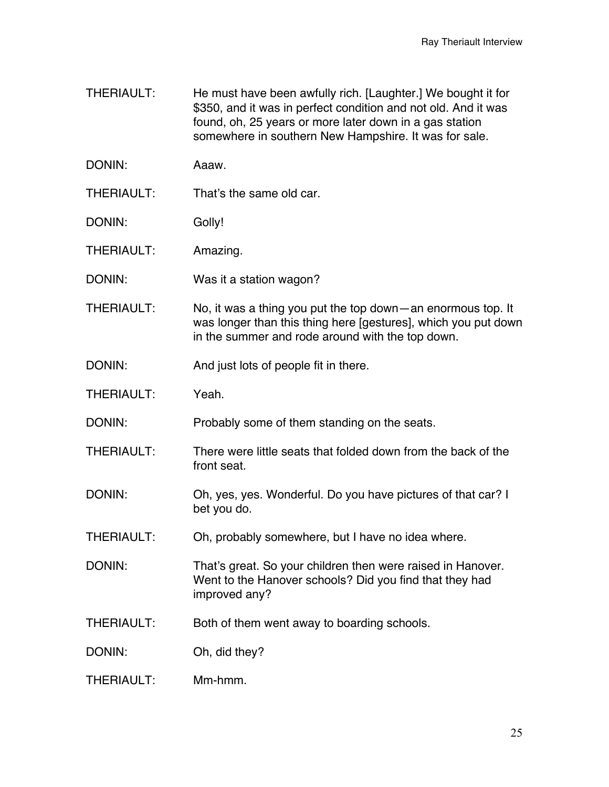- THERIAULT: He must have been awfully rich. [Laughter.] We bought it for \$350, and it was in perfect condition and not old. And it was found, oh, 25 years or more later down in a gas station somewhere in southern New Hampshire. It was for sale.
- DONIN: Aaaw.
- THERIAULT: That's the same old car.
- DONIN: Golly!

THERIAULT: Amazing.

- DONIN: Was it a station wagon?
- THERIAULT: No, it was a thing you put the top down—an enormous top. It was longer than this thing here [gestures], which you put down in the summer and rode around with the top down.
- DONIN: And just lots of people fit in there.
- THERIAULT: Yeah.

DONIN: Probably some of them standing on the seats.

- THERIAULT: There were little seats that folded down from the back of the front seat.
- DONIN: Oh, yes, yes. Wonderful. Do you have pictures of that car? I bet you do.
- THERIAULT: Oh, probably somewhere, but I have no idea where.
- DONIN: That's great. So your children then were raised in Hanover. Went to the Hanover schools? Did you find that they had improved any?
- THERIAULT: Both of them went away to boarding schools.
- DONIN: Oh, did they?
- $THFRIALJIT:$  Mm-hmm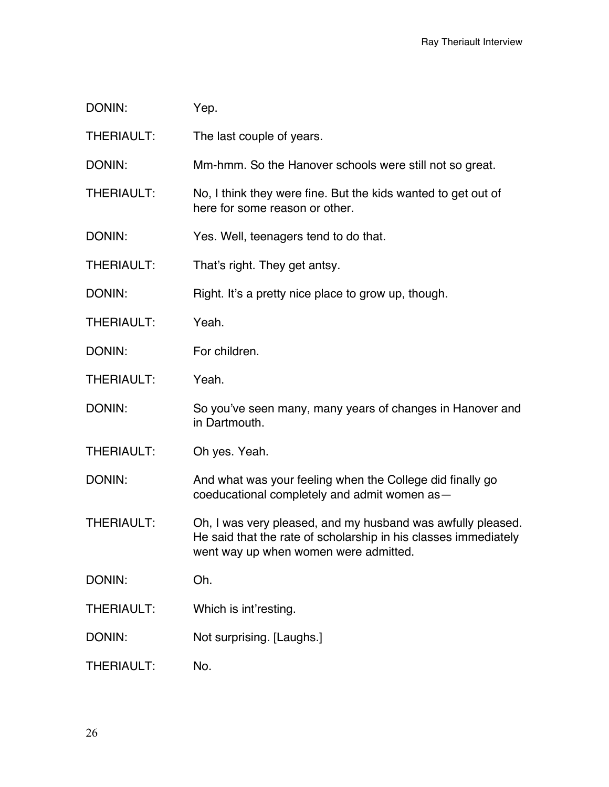| DONIN:            | Yep.                                                                                                                                                                    |
|-------------------|-------------------------------------------------------------------------------------------------------------------------------------------------------------------------|
| THERIAULT:        | The last couple of years.                                                                                                                                               |
| DONIN:            | Mm-hmm. So the Hanover schools were still not so great.                                                                                                                 |
| <b>THERIAULT:</b> | No, I think they were fine. But the kids wanted to get out of<br>here for some reason or other.                                                                         |
| DONIN:            | Yes. Well, teenagers tend to do that.                                                                                                                                   |
| THERIAULT:        | That's right. They get antsy.                                                                                                                                           |
| DONIN:            | Right. It's a pretty nice place to grow up, though.                                                                                                                     |
| THERIAULT:        | Yeah.                                                                                                                                                                   |
| DONIN:            | For children.                                                                                                                                                           |
| <b>THERIAULT:</b> | Yeah.                                                                                                                                                                   |
| DONIN:            | So you've seen many, many years of changes in Hanover and<br>in Dartmouth.                                                                                              |
| <b>THERIAULT:</b> | Oh yes. Yeah.                                                                                                                                                           |
| DONIN:            | And what was your feeling when the College did finally go<br>coeducational completely and admit women as-                                                               |
| <b>THERIAULT:</b> | Oh, I was very pleased, and my husband was awfully pleased.<br>He said that the rate of scholarship in his classes immediately<br>went way up when women were admitted. |
| DONIN:            | Oh.                                                                                                                                                                     |
| <b>THERIAULT:</b> | Which is int'resting.                                                                                                                                                   |
| DONIN:            | Not surprising. [Laughs.]                                                                                                                                               |
| THERIAULT:        | No.                                                                                                                                                                     |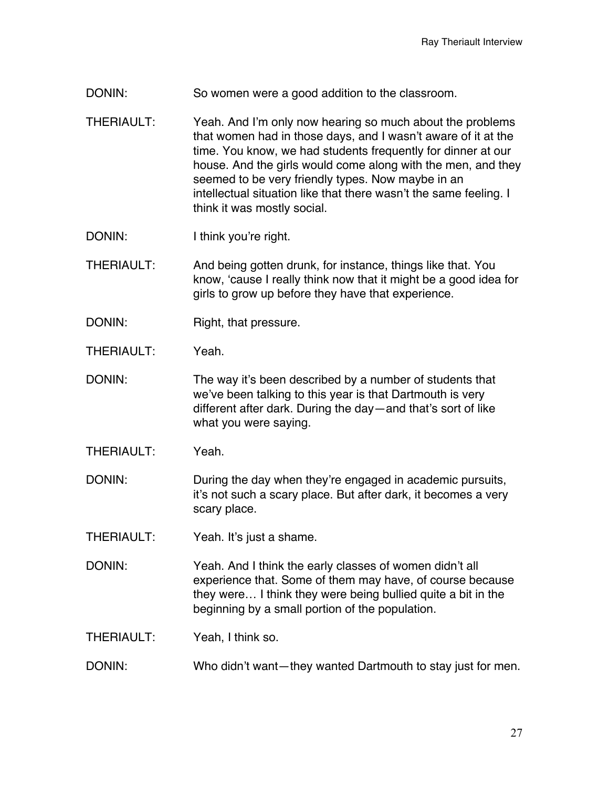- DONIN: So women were a good addition to the classroom.
- THERIAULT: Yeah. And I'm only now hearing so much about the problems that women had in those days, and I wasn't aware of it at the time. You know, we had students frequently for dinner at our house. And the girls would come along with the men, and they seemed to be very friendly types. Now maybe in an intellectual situation like that there wasn't the same feeling. I think it was mostly social.
- DONIN: I think you're right.
- THERIAULT: And being gotten drunk, for instance, things like that. You know, 'cause I really think now that it might be a good idea for girls to grow up before they have that experience.
- DONIN: Right, that pressure.
- THERIAULT: Yeah.
- DONIN: The way it's been described by a number of students that we've been talking to this year is that Dartmouth is very different after dark. During the day—and that's sort of like what you were saying.
- THERIAULT: Yeah.
- DONIN: DURING DURING DURING DURING DURING DURING DURING DURING DURING DURING DURING DURING DURING DURING DURING DURING DURING DURING DURING DURING DURING DURING DURING DURING DURING DURING DURING DURING DURING DURING DURIN it's not such a scary place. But after dark, it becomes a very scary place.
- THERIAULT: Yeah. It's just a shame.
- DONIN: Yeah. And I think the early classes of women didn't all experience that. Some of them may have, of course because they were… I think they were being bullied quite a bit in the beginning by a small portion of the population.

THERIAULT: Yeah, I think so.

DONIN: Who didn't want—they wanted Dartmouth to stay just for men.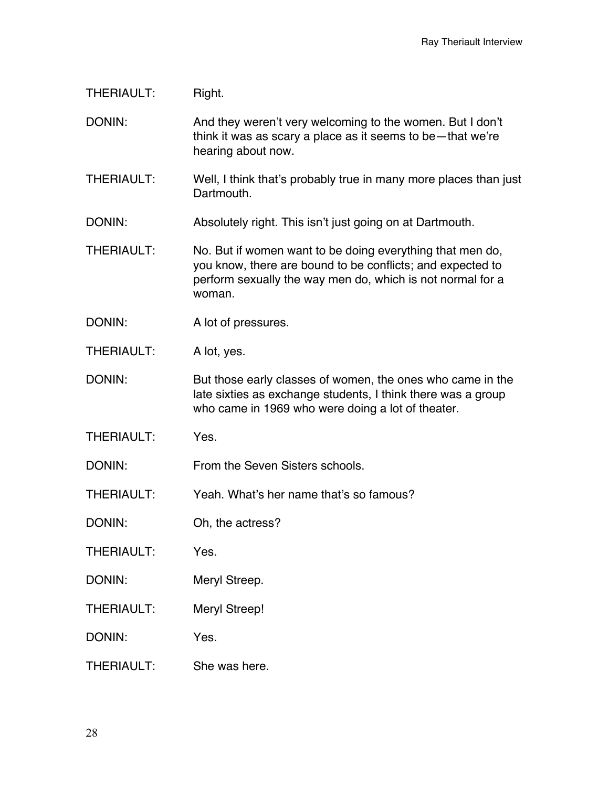## THERIAULT: Right.

DONIN: And they weren't very welcoming to the women. But I don't think it was as scary a place as it seems to be—that we're hearing about now.

THERIAULT: Well, I think that's probably true in many more places than just **Dartmouth** 

DONIN: Absolutely right. This isn't just going on at Dartmouth.

- THERIAULT: No. But if women want to be doing everything that men do, you know, there are bound to be conflicts; and expected to perform sexually the way men do, which is not normal for a woman.
- DONIN: A lot of pressures.
- THERIAULT: A lot, yes.

DONIN: But those early classes of women, the ones who came in the late sixties as exchange students, I think there was a group who came in 1969 who were doing a lot of theater.

THERIAULT: Yes.

DONIN: From the Seven Sisters schools.

THERIAULT: Yeah. What's her name that's so famous?

- DONIN: Oh, the actress?
- THERIAULT: Yes.
- DONIN: Meryl Streep.
- THERIAULT: Meryl Streep!
- DONIN: Yes.
- THERIAULT: She was here.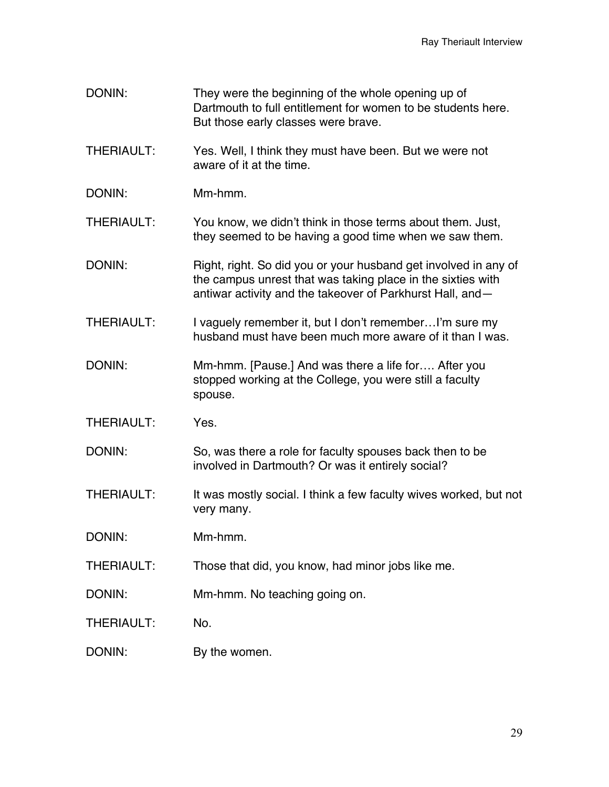- DONIN: They were the beginning of the whole opening up of Dartmouth to full entitlement for women to be students here. But those early classes were brave.
- THERIAULT: Yes. Well, I think they must have been. But we were not aware of it at the time.
- DONIN: Mm-hmm.
- THERIAULT: You know, we didn't think in those terms about them. Just, they seemed to be having a good time when we saw them.
- DONIN: Right, right. So did you or your husband get involved in any of the campus unrest that was taking place in the sixties with antiwar activity and the takeover of Parkhurst Hall, and—
- THERIAULT: I vaguely remember it, but I don't remember...I'm sure my husband must have been much more aware of it than I was.
- DONIN: Mm-hmm. [Pause.] And was there a life for.... After you stopped working at the College, you were still a faculty spouse.
- THERIAULT: Yes.
- DONIN: So, was there a role for faculty spouses back then to be involved in Dartmouth? Or was it entirely social?
- THERIAULT: It was mostly social. I think a few faculty wives worked, but not very many.
- DONIN: Mm-hmm.
- THERIAULT: Those that did, you know, had minor jobs like me.
- DONIN: Mm-hmm. No teaching going on.
- THERIAULT: No.
- DONIN: By the women.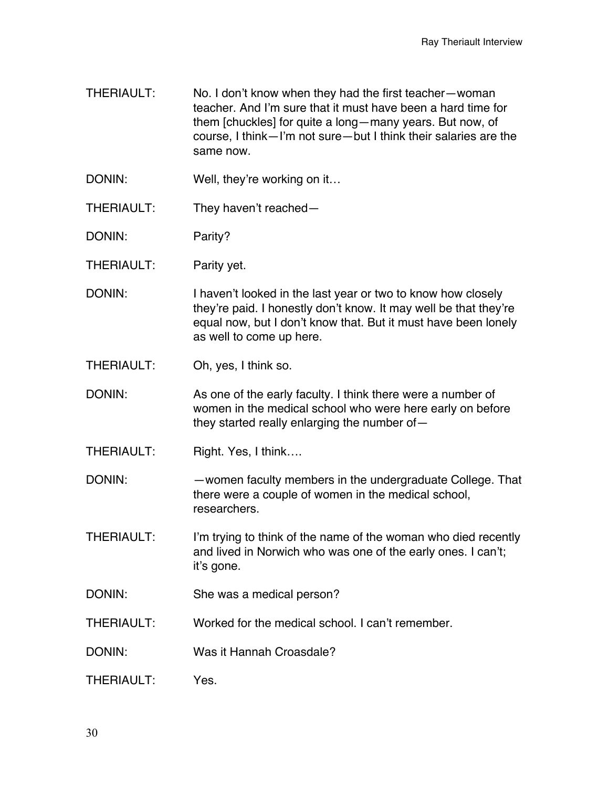- THERIAULT: No. I don't know when they had the first teacher—woman teacher. And I'm sure that it must have been a hard time for them [chuckles] for quite a long—many years. But now, of course, I think—I'm not sure—but I think their salaries are the same now.
- DONIN: Well, they're working on it...
- THERIAULT: They haven't reached—
- DONIN: Parity?
- THERIAULT: Parity yet.
- DONIN: I haven't looked in the last year or two to know how closely they're paid. I honestly don't know. It may well be that they're equal now, but I don't know that. But it must have been lonely as well to come up here.
- THERIAULT: Oh, yes, I think so.
- DONIN: As one of the early faculty. I think there were a number of women in the medical school who were here early on before they started really enlarging the number of—
- THERIAULT: Right. Yes, I think....
- DONIN: —women faculty members in the undergraduate College. That there were a couple of women in the medical school, researchers.
- THERIAULT: I'm trying to think of the name of the woman who died recently and lived in Norwich who was one of the early ones. I can't; it's gone.
- DONIN: She was a medical person?
- THERIAULT: Worked for the medical school. I can't remember.
- DONIN: Was it Hannah Croasdale?
- THERIAULT: Yes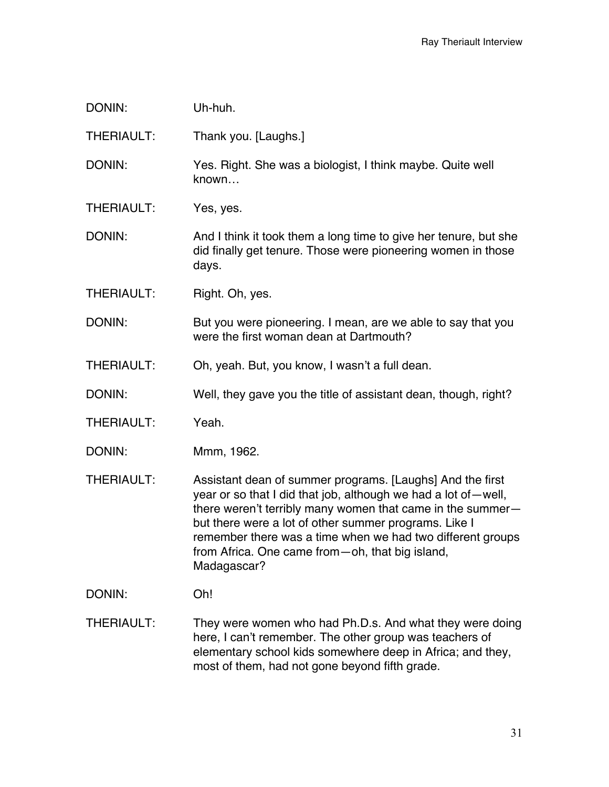| DONIN:            | Uh-huh.                                                                                                                                                                                                                                                                                                                                                                              |
|-------------------|--------------------------------------------------------------------------------------------------------------------------------------------------------------------------------------------------------------------------------------------------------------------------------------------------------------------------------------------------------------------------------------|
| <b>THERIAULT:</b> | Thank you. [Laughs.]                                                                                                                                                                                                                                                                                                                                                                 |
| DONIN:            | Yes. Right. She was a biologist, I think maybe. Quite well<br>known                                                                                                                                                                                                                                                                                                                  |
| <b>THERIAULT:</b> | Yes, yes.                                                                                                                                                                                                                                                                                                                                                                            |
| DONIN:            | And I think it took them a long time to give her tenure, but she<br>did finally get tenure. Those were pioneering women in those<br>days.                                                                                                                                                                                                                                            |
| <b>THERIAULT:</b> | Right. Oh, yes.                                                                                                                                                                                                                                                                                                                                                                      |
| DONIN:            | But you were pioneering. I mean, are we able to say that you<br>were the first woman dean at Dartmouth?                                                                                                                                                                                                                                                                              |
| THERIAULT:        | Oh, yeah. But, you know, I wasn't a full dean.                                                                                                                                                                                                                                                                                                                                       |
| DONIN:            | Well, they gave you the title of assistant dean, though, right?                                                                                                                                                                                                                                                                                                                      |
| <b>THERIAULT:</b> | Yeah.                                                                                                                                                                                                                                                                                                                                                                                |
| DONIN:            | Mmm, 1962.                                                                                                                                                                                                                                                                                                                                                                           |
| <b>THERIAULT:</b> | Assistant dean of summer programs. [Laughs] And the first<br>year or so that I did that job, although we had a lot of-well,<br>there weren't terribly many women that came in the summer-<br>but there were a lot of other summer programs. Like I<br>remember there was a time when we had two different groups<br>from Africa. One came from - oh, that big island,<br>Madagascar? |
| DONIN:            | Oh!                                                                                                                                                                                                                                                                                                                                                                                  |
| THERIAULT:        | They were women who had Ph.D.s. And what they were doing<br>here, I can't remember. The other group was teachers of                                                                                                                                                                                                                                                                  |

here, I can't remember. The other group was teachers of elementary school kids somewhere deep in Africa; and they, most of them, had not gone beyond fifth grade.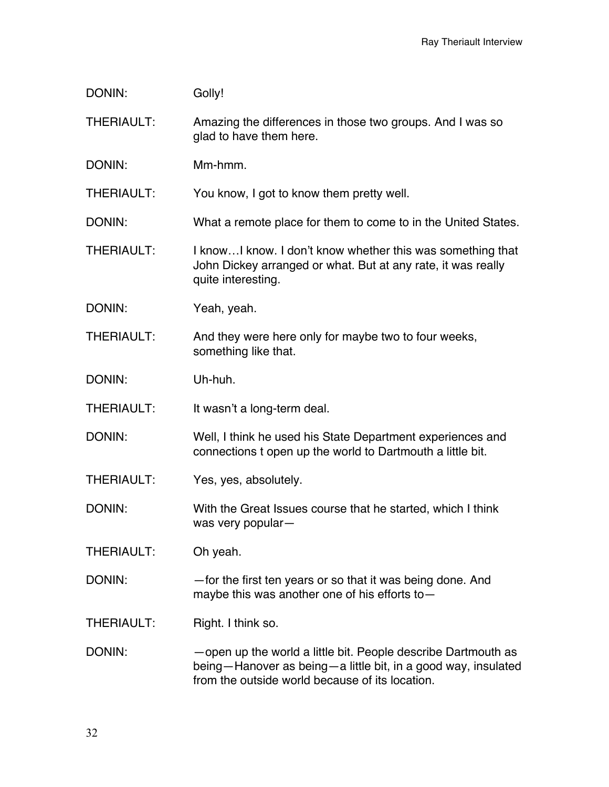| DONIN:            | Golly!                                                                                                                                                                            |
|-------------------|-----------------------------------------------------------------------------------------------------------------------------------------------------------------------------------|
| <b>THERIAULT:</b> | Amazing the differences in those two groups. And I was so<br>glad to have them here.                                                                                              |
| DONIN:            | Mm-hmm.                                                                                                                                                                           |
| <b>THERIAULT:</b> | You know, I got to know them pretty well.                                                                                                                                         |
| DONIN:            | What a remote place for them to come to in the United States.                                                                                                                     |
| <b>THERIAULT:</b> | I know I know. I don't know whether this was something that<br>John Dickey arranged or what. But at any rate, it was really<br>quite interesting.                                 |
| DONIN:            | Yeah, yeah.                                                                                                                                                                       |
| THERIAULT:        | And they were here only for maybe two to four weeks,<br>something like that.                                                                                                      |
| DONIN:            | Uh-huh.                                                                                                                                                                           |
| <b>THERIAULT:</b> | It wasn't a long-term deal.                                                                                                                                                       |
| DONIN:            | Well, I think he used his State Department experiences and<br>connections t open up the world to Dartmouth a little bit.                                                          |
| <b>THERIAULT:</b> | Yes, yes, absolutely.                                                                                                                                                             |
| DONIN:            | With the Great Issues course that he started, which I think<br>was very popular-                                                                                                  |
| THERIAULT:        | Oh yeah.                                                                                                                                                                          |
| DONIN:            | -for the first ten years or so that it was being done. And<br>maybe this was another one of his efforts to $-$                                                                    |
| <b>THERIAULT:</b> | Right. I think so.                                                                                                                                                                |
| DONIN:            | -open up the world a little bit. People describe Dartmouth as<br>being-Hanover as being-a little bit, in a good way, insulated<br>from the outside world because of its location. |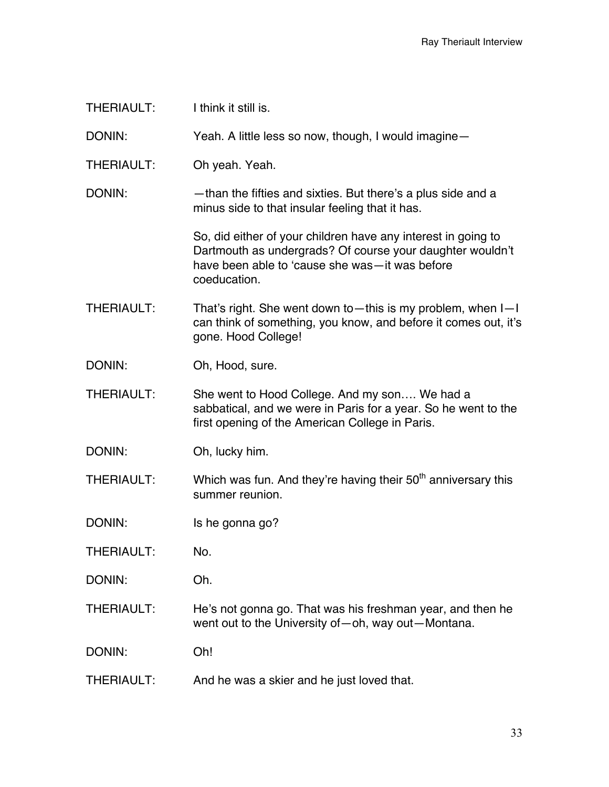| I think it still is.                                                                                                                                                                         |
|----------------------------------------------------------------------------------------------------------------------------------------------------------------------------------------------|
| Yeah. A little less so now, though, I would imagine -                                                                                                                                        |
| Oh yeah. Yeah.                                                                                                                                                                               |
| -than the fifties and sixties. But there's a plus side and a<br>minus side to that insular feeling that it has.                                                                              |
| So, did either of your children have any interest in going to<br>Dartmouth as undergrads? Of course your daughter wouldn't<br>have been able to 'cause she was-it was before<br>coeducation. |
| That's right. She went down to — this is my problem, when $I-I$<br>can think of something, you know, and before it comes out, it's<br>gone. Hood College!                                    |
| Oh, Hood, sure.                                                                                                                                                                              |
| She went to Hood College. And my son We had a<br>sabbatical, and we were in Paris for a year. So he went to the<br>first opening of the American College in Paris.                           |
| Oh, lucky him.                                                                                                                                                                               |
| Which was fun. And they're having their 50 <sup>th</sup> anniversary this<br>summer reunion.                                                                                                 |
| Is he gonna go?                                                                                                                                                                              |
| No.                                                                                                                                                                                          |
| Oh.                                                                                                                                                                                          |
| He's not gonna go. That was his freshman year, and then he<br>went out to the University of - oh, way out - Montana.                                                                         |
| Oh!                                                                                                                                                                                          |
| And he was a skier and he just loved that.                                                                                                                                                   |
|                                                                                                                                                                                              |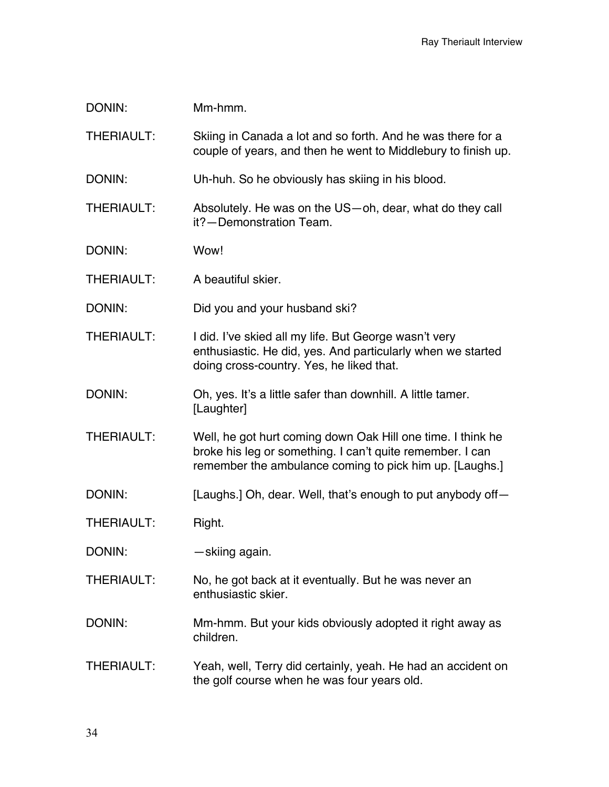| DONIN:            | Mm-hmm.                                                                                                                                                                             |
|-------------------|-------------------------------------------------------------------------------------------------------------------------------------------------------------------------------------|
| <b>THERIAULT:</b> | Skiing in Canada a lot and so forth. And he was there for a<br>couple of years, and then he went to Middlebury to finish up.                                                        |
| DONIN:            | Uh-huh. So he obviously has skiing in his blood.                                                                                                                                    |
| <b>THERIAULT:</b> | Absolutely. He was on the US-oh, dear, what do they call<br>it?-Demonstration Team.                                                                                                 |
| DONIN:            | Wow!                                                                                                                                                                                |
| THERIAULT:        | A beautiful skier.                                                                                                                                                                  |
| DONIN:            | Did you and your husband ski?                                                                                                                                                       |
| <b>THERIAULT:</b> | I did. I've skied all my life. But George wasn't very<br>enthusiastic. He did, yes. And particularly when we started<br>doing cross-country. Yes, he liked that.                    |
| DONIN:            | Oh, yes. It's a little safer than downhill. A little tamer.<br>[Laughter]                                                                                                           |
| <b>THERIAULT:</b> | Well, he got hurt coming down Oak Hill one time. I think he<br>broke his leg or something. I can't quite remember. I can<br>remember the ambulance coming to pick him up. [Laughs.] |
| DONIN:            | [Laughs.] Oh, dear. Well, that's enough to put anybody of f—                                                                                                                        |
| <b>THERIAULT:</b> | Right.                                                                                                                                                                              |
| DONIN:            | -skiing again.                                                                                                                                                                      |
| <b>THERIAULT:</b> | No, he got back at it eventually. But he was never an<br>enthusiastic skier.                                                                                                        |
| DONIN:            | Mm-hmm. But your kids obviously adopted it right away as<br>children.                                                                                                               |
| THERIAULT:        | Yeah, well, Terry did certainly, yeah. He had an accident on<br>the golf course when he was four years old.                                                                         |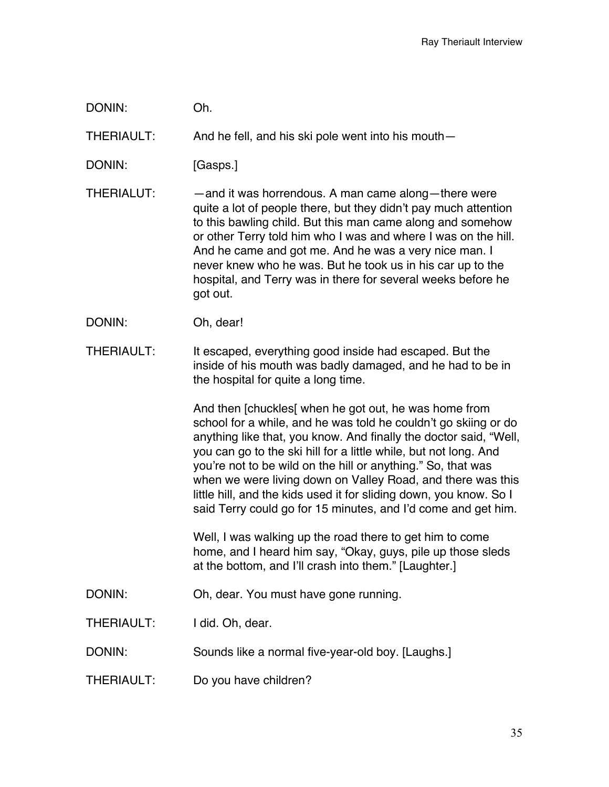DONIN: Oh.

THERIAULT: And he fell, and his ski pole went into his mouth—

DONIN: [Gasps.]

- THERIALUT: —and it was horrendous. A man came along—there were quite a lot of people there, but they didn't pay much attention to this bawling child. But this man came along and somehow or other Terry told him who I was and where I was on the hill. And he came and got me. And he was a very nice man. I never knew who he was. But he took us in his car up to the hospital, and Terry was in there for several weeks before he got out.
- DONIN: Oh, dear!
- THERIAULT: It escaped, everything good inside had escaped. But the inside of his mouth was badly damaged, and he had to be in the hospital for quite a long time.

And then [chuckles[ when he got out, he was home from school for a while, and he was told he couldn't go skiing or do anything like that, you know. And finally the doctor said, "Well, you can go to the ski hill for a little while, but not long. And you're not to be wild on the hill or anything." So, that was when we were living down on Valley Road, and there was this little hill, and the kids used it for sliding down, you know. So I said Terry could go for 15 minutes, and I'd come and get him.

Well, I was walking up the road there to get him to come home, and I heard him say, "Okay, guys, pile up those sleds at the bottom, and I'll crash into them." [Laughter.]

- DONIN: Oh, dear. You must have gone running.
- THERIAULT: I did. Oh, dear.
- DONIN: Sounds like a normal five-year-old boy. [Laughs.]
- THERIAULT: Do you have children?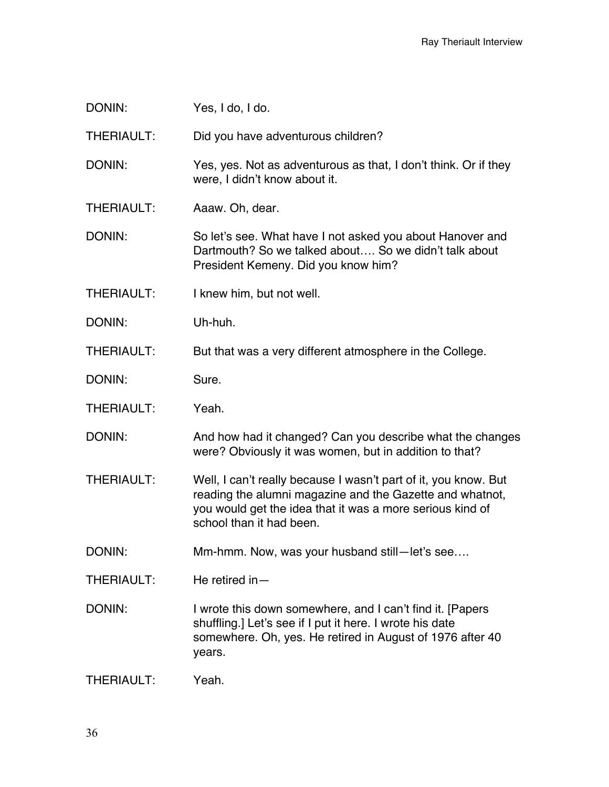DONIN: Yes, I do, I do.

THERIAULT: Did you have adventurous children?

DONIN: Yes, yes. Not as adventurous as that, I don't think. Or if they were, I didn't know about it.

THERIAULT: Aaaw. Oh, dear.

DONIN: So let's see. What have I not asked you about Hanover and Dartmouth? So we talked about…. So we didn't talk about President Kemeny. Did you know him?

THERIAULT: I knew him, but not well.

DONIN: Uh-huh.

THERIAULT: But that was a very different atmosphere in the College.

DONIN: Sure.

THERIAULT: Yeah.

DONIN: And how had it changed? Can you describe what the changes were? Obviously it was women, but in addition to that?

THERIAULT: Well, I can't really because I wasn't part of it, you know. But reading the alumni magazine and the Gazette and whatnot, you would get the idea that it was a more serious kind of school than it had been.

DONIN: Mm-hmm. Now, was your husband still—let's see....

THERIAULT: He retired in—

DONIN: I wrote this down somewhere, and I can't find it. [Papers shuffling.] Let's see if I put it here. I wrote his date somewhere. Oh, yes. He retired in August of 1976 after 40 years.

THERIAULT: Yeah.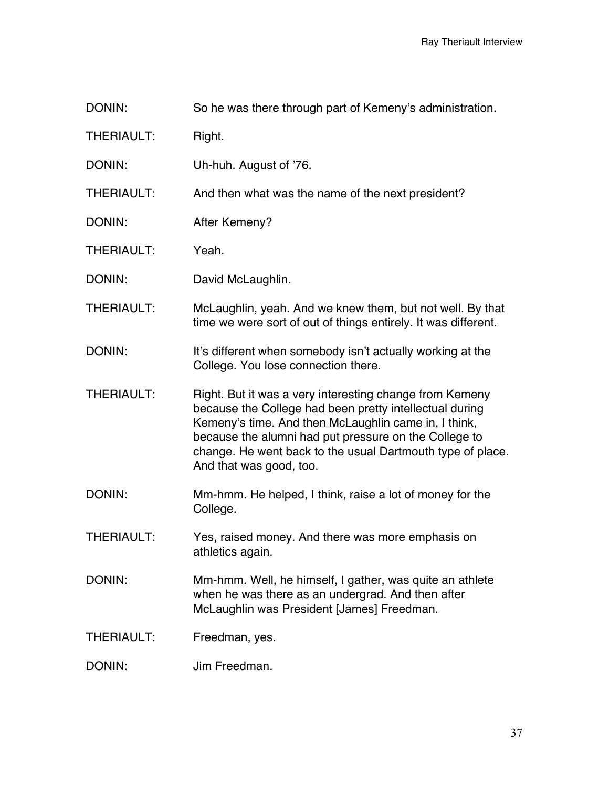- DONIN: So he was there through part of Kemeny's administration.
- THERIAULT: Right.
- DONIN: Uh-huh. August of '76.
- THERIAULT: And then what was the name of the next president?
- DONIN: After Kemeny?
- THERIAULT: Yeah.
- DONIN: David McLaughlin.
- THERIAULT: McLaughlin, yeah. And we knew them, but not well. By that time we were sort of out of things entirely. It was different.
- DONIN: It's different when somebody isn't actually working at the College. You lose connection there.
- THERIAULT: Right. But it was a very interesting change from Kemeny because the College had been pretty intellectual during Kemeny's time. And then McLaughlin came in, I think, because the alumni had put pressure on the College to change. He went back to the usual Dartmouth type of place. And that was good, too.
- DONIN: Mm-hmm. He helped, I think, raise a lot of money for the College.
- THERIAULT: Yes, raised money. And there was more emphasis on athletics again.
- DONIN: Mm-hmm. Well, he himself, I gather, was quite an athlete when he was there as an undergrad. And then after McLaughlin was President [James] Freedman.
- THERIAULT: Freedman, yes.
- DONIN: Jim Freedman.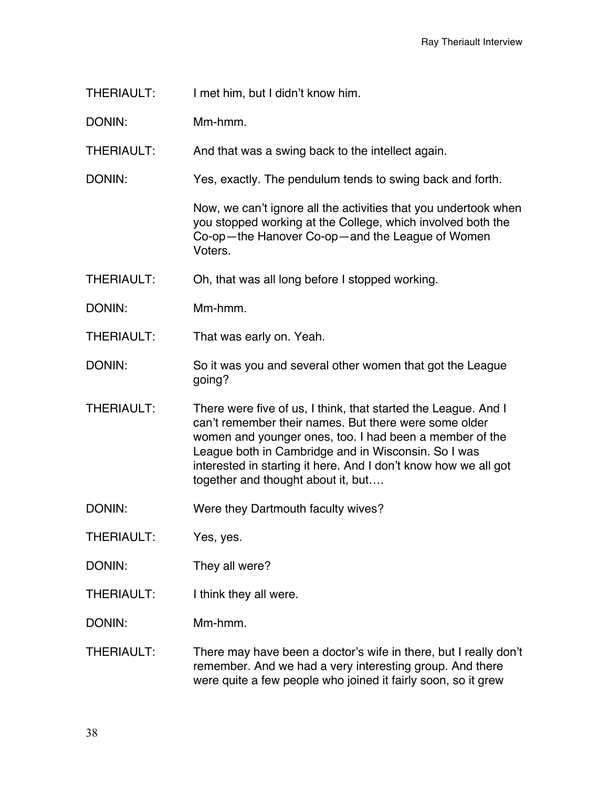THERIAULT: I met him, but I didn't know him.

DONIN: Mm-hmm.

THERIAULT: And that was a swing back to the intellect again.

DONIN: Yes, exactly. The pendulum tends to swing back and forth.

Now, we can't ignore all the activities that you undertook when you stopped working at the College, which involved both the Co-op—the Hanover Co-op—and the League of Women Voters.

THERIAULT: Oh, that was all long before I stopped working.

DONIN: Mm-hmm.

THERIAULT: That was early on. Yeah.

DONIN: So it was you and several other women that got the League going?

THERIAULT: There were five of us, I think, that started the League. And I can't remember their names. But there were some older women and younger ones, too. I had been a member of the League both in Cambridge and in Wisconsin. So I was interested in starting it here. And I don't know how we all got together and thought about it, but….

DONIN: Were they Dartmouth faculty wives?

THERIAULT: Yes, yes.

DONIN: They all were?

THERIAULT: I think they all were.

DONIN: Mm-hmm.

THERIAULT: There may have been a doctor's wife in there, but I really don't remember. And we had a very interesting group. And there were quite a few people who joined it fairly soon, so it grew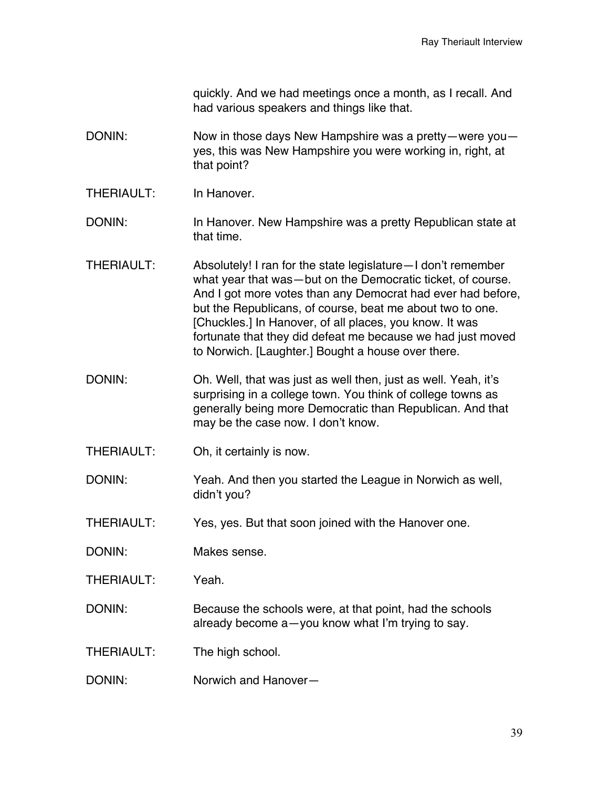quickly. And we had meetings once a month, as I recall. And had various speakers and things like that.

- DONIN: Now in those days New Hampshire was a pretty—were you yes, this was New Hampshire you were working in, right, at that point?
- THERIAULT: In Hanover
- DONIN: In Hanover. New Hampshire was a pretty Republican state at that time.
- THERIAULT: Absolutely! I ran for the state legislature—I don't remember what year that was—but on the Democratic ticket, of course. And I got more votes than any Democrat had ever had before, but the Republicans, of course, beat me about two to one. [Chuckles.] In Hanover, of all places, you know. It was fortunate that they did defeat me because we had just moved to Norwich. [Laughter.] Bought a house over there.
- DONIN: Oh. Well, that was just as well then, just as well. Yeah, it's surprising in a college town. You think of college towns as generally being more Democratic than Republican. And that may be the case now. I don't know.
- THERIAULT: Oh, it certainly is now.
- DONIN: Yeah. And then you started the League in Norwich as well, didn't you?
- THERIAULT: Yes, yes. But that soon joined with the Hanover one.
- DONIN: Makes sense.
- THERIAULT: Yeah.
- DONIN: Because the schools were, at that point, had the schools already become a—you know what I'm trying to say.
- THERIAULT: The high school.
- DONIN: Norwich and Hanover—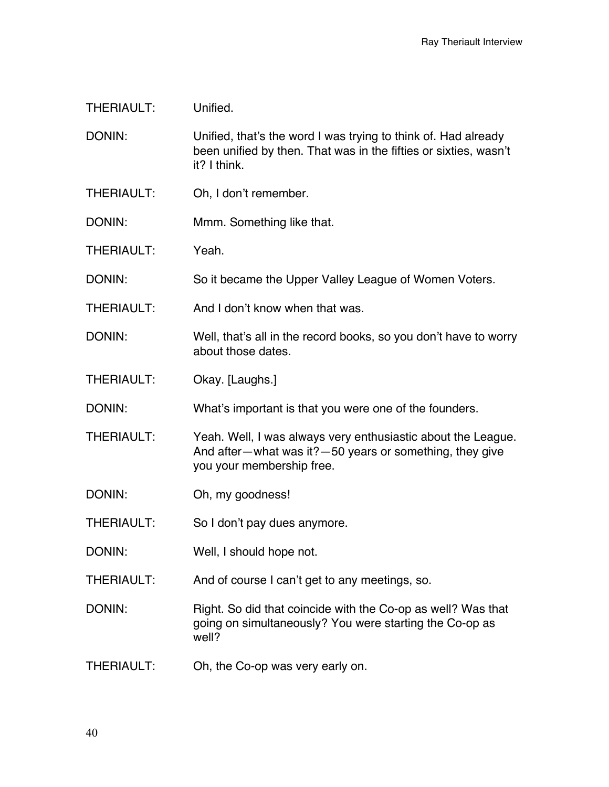DONIN: Unified, that's the word I was trying to think of. Had already been unified by then. That was in the fifties or sixties, wasn't it? I think.

- THERIAULT: Oh, I don't remember.
- DONIN: Mmm. Something like that.
- THERIAULT: Yeah.
- DONIN: So it became the Upper Valley League of Women Voters.
- THERIAULT: And I don't know when that was.
- DONIN: Well, that's all in the record books, so you don't have to worry about those dates.
- THERIAULT: Okay. [Laughs.]

DONIN: What's important is that you were one of the founders.

- THERIAULT: Yeah. Well, I was always very enthusiastic about the League. And after—what was it?—50 years or something, they give you your membership free.
- DONIN: Oh, my goodness!
- THERIAULT: So I don't pay dues anymore.
- DONIN: Well, I should hope not.
- THERIAULT: And of course I can't get to any meetings, so.

DONIN: Right. So did that coincide with the Co-op as well? Was that going on simultaneously? You were starting the Co-op as well?

THERIAULT: Oh, the Co-op was very early on.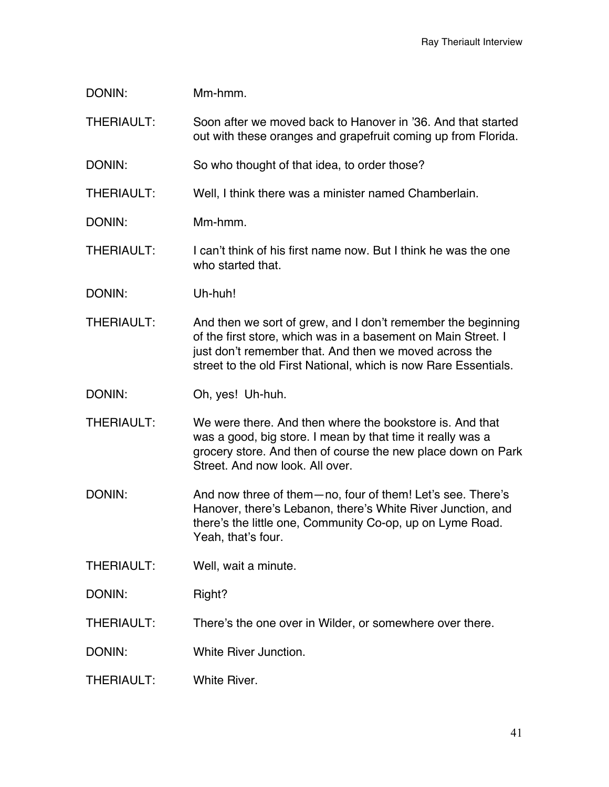| Mm-hmm.                                                                                                                                                                                                                                                    |
|------------------------------------------------------------------------------------------------------------------------------------------------------------------------------------------------------------------------------------------------------------|
| Soon after we moved back to Hanover in '36. And that started<br>out with these oranges and grapefruit coming up from Florida.                                                                                                                              |
| So who thought of that idea, to order those?                                                                                                                                                                                                               |
| Well, I think there was a minister named Chamberlain.                                                                                                                                                                                                      |
| Mm-hmm.                                                                                                                                                                                                                                                    |
| I can't think of his first name now. But I think he was the one<br>who started that.                                                                                                                                                                       |
| Uh-huh!                                                                                                                                                                                                                                                    |
| And then we sort of grew, and I don't remember the beginning<br>of the first store, which was in a basement on Main Street. I<br>just don't remember that. And then we moved across the<br>street to the old First National, which is now Rare Essentials. |
| Oh, yes! Uh-huh.                                                                                                                                                                                                                                           |
| We were there. And then where the bookstore is, And that<br>was a good, big store. I mean by that time it really was a<br>grocery store. And then of course the new place down on Park<br>Street. And now look. All over.                                  |
| And now three of them-no, four of them! Let's see. There's<br>Hanover, there's Lebanon, there's White River Junction, and<br>there's the little one, Community Co-op, up on Lyme Road.<br>Yeah, that's four.                                               |
| Well, wait a minute.                                                                                                                                                                                                                                       |
| Right?                                                                                                                                                                                                                                                     |
|                                                                                                                                                                                                                                                            |
| There's the one over in Wilder, or somewhere over there.                                                                                                                                                                                                   |
| White River Junction.                                                                                                                                                                                                                                      |
|                                                                                                                                                                                                                                                            |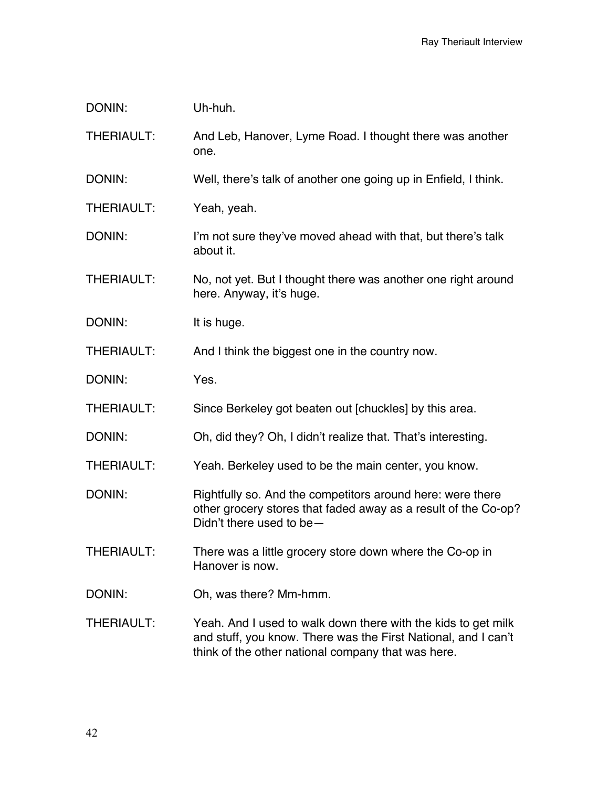| DONIN:            | Uh-huh.                                                                                                                                                                               |
|-------------------|---------------------------------------------------------------------------------------------------------------------------------------------------------------------------------------|
| <b>THERIAULT:</b> | And Leb, Hanover, Lyme Road. I thought there was another<br>one.                                                                                                                      |
| DONIN:            | Well, there's talk of another one going up in Enfield, I think.                                                                                                                       |
| <b>THERIAULT:</b> | Yeah, yeah.                                                                                                                                                                           |
| DONIN:            | I'm not sure they've moved ahead with that, but there's talk<br>about it.                                                                                                             |
| <b>THERIAULT:</b> | No, not yet. But I thought there was another one right around<br>here. Anyway, it's huge.                                                                                             |
| DONIN:            | It is huge.                                                                                                                                                                           |
| <b>THERIAULT:</b> | And I think the biggest one in the country now.                                                                                                                                       |
| DONIN:            | Yes.                                                                                                                                                                                  |
| <b>THERIAULT:</b> | Since Berkeley got beaten out [chuckles] by this area.                                                                                                                                |
| DONIN:            | Oh, did they? Oh, I didn't realize that. That's interesting.                                                                                                                          |
| <b>THERIAULT:</b> | Yeah. Berkeley used to be the main center, you know.                                                                                                                                  |
| DONIN:            | Rightfully so. And the competitors around here: were there<br>other grocery stores that faded away as a result of the Co-op?<br>Didn't there used to be -                             |
| <b>THERIAULT:</b> | There was a little grocery store down where the Co-op in<br>Hanover is now.                                                                                                           |
| DONIN:            | Oh, was there? Mm-hmm.                                                                                                                                                                |
| THERIAULT:        | Yeah. And I used to walk down there with the kids to get milk<br>and stuff, you know. There was the First National, and I can't<br>think of the other national company that was here. |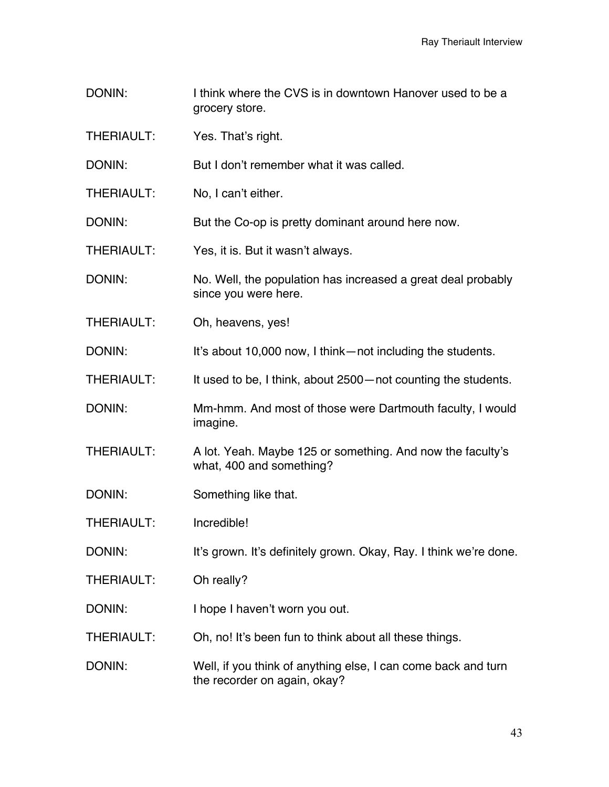- DONIN: I think where the CVS is in downtown Hanover used to be a grocery store.
- THERIAULT: Yes. That's right.
- DONIN: But I don't remember what it was called.
- THERIAULT: No, I can't either.

DONIN: But the Co-op is pretty dominant around here now.

- THERIAULT: Yes, it is. But it wasn't always.
- DONIN: No. Well, the population has increased a great deal probably since you were here.
- THERIAULT: Oh, heavens, yes!
- DONIN: It's about 10,000 now, I think—not including the students.
- THERIAULT: It used to be, I think, about 2500—not counting the students.
- DONIN: Mm-hmm. And most of those were Dartmouth faculty, I would imagine.
- THERIAULT: A lot. Yeah. Maybe 125 or something. And now the faculty's what, 400 and something?
- DONIN: Something like that.
- THERIAULT: Incredible!
- DONIN: It's grown. It's definitely grown. Okay, Ray. I think we're done.
- THERIAULT: Oh really?
- DONIN: I hope I haven't worn you out.
- THERIAULT: Oh, no! It's been fun to think about all these things.
- DONIN: Well, if you think of anything else, I can come back and turn the recorder on again, okay?